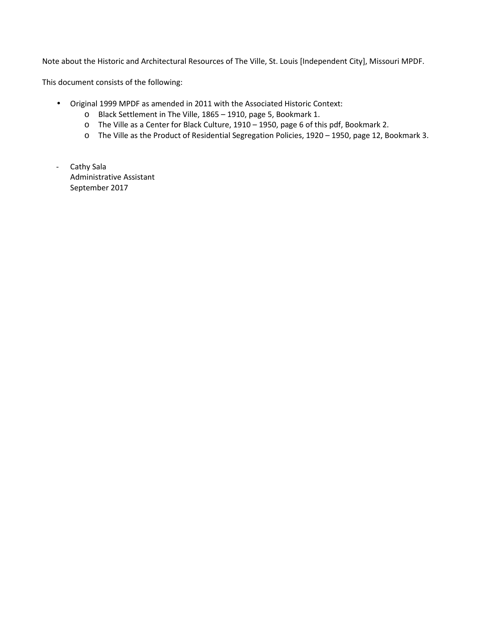Note about the Historic and Architectural Resources of The Ville, St. Louis [Independent City], Missouri MPDF.

This document consists of the following:

- Original 1999 MPDF as amended in 2011 with the Associated Historic Context:
	- o Black Settlement in The Ville, 1865 1910, page 5, Bookmark 1.
	- o The Ville as a Center for Black Culture, 1910 1950, page 6 of this pdf, Bookmark 2.
	- o The Ville as the Product of Residential Segregation Policies, 1920 1950, page 12, Bookmark 3.
- Cathy Sala Administrative Assistant September 2017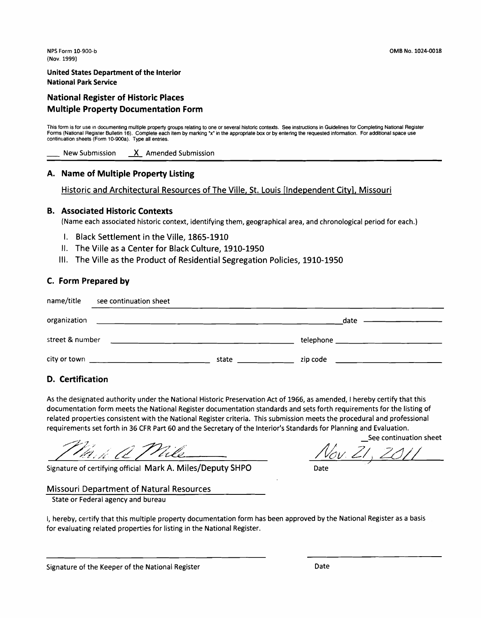#### **United States Department of the Interior National Park Service**

#### **National Register of Historic Places Multiple Property Documentation Form**

This form is for use in documenting multiple property groups relating to one or several historic contexts. See instructions in Guidelines for Completing National Register Forms (National Register Bulletin 16). Complete each item by marking "x" in the appropriate box or by entering the requested information. For additional space use continuation sheets (Form 10-900a). Type all entries. This form is for use in documenting multiple property groups relating to one or several historic contexts. See instructions in Guidelines for Completents (National Register Bulletin 16). Complete each item by marking "x" i

#### **A. Name of Multiple Property Listing**

Historic and Architectural Resources of The Ville, St. Louis [Independent City], Missouri

#### **B. Associated Historic Contexts**

(Name each associated historic context, identifying them, geographical area, and chronological period for each.)

- I. Black Settlement in the Ville, 1865-1910
- II. The Ville as a Center for Black Culture, 1910-1950
- Ill. The Ville as the Product of Residential Segregation Policies, 1910-1950

#### **C. Form Prepared by**

| name/title      | see continuation sheet                                                                                           |       |               |  |  |
|-----------------|------------------------------------------------------------------------------------------------------------------|-------|---------------|--|--|
| organization    | and the control of the control of the control of the control of the control of the control of the control of the |       | date ———————— |  |  |
| street & number | the contract of the contract of the contract of the contract of the contract of                                  |       |               |  |  |
|                 |                                                                                                                  | state | zip code      |  |  |

#### **D. Certification**

As the designated authority under the National Historic Preservation Act of 1966, as amended, I hereby certify that this documentation form meets the National Register documentation standards and sets forth requirements for the listing of related properties consistent with the National Register criteria. This submission meets the procedural and professional requirements set forth in 36 CFR Part 60 and the Secretary of the Interior's Standards for Planning and Evaluation.

Mark a Mile

Signature of certifying official Mark A. Miles/Deputy SHPO

See continuation sheet /

Date

#### Missouri Department of Natural Resources

State or Federal agency and bureau

I, hereby, certify that this multiple property documentation form has been approved by the National Register as a basis for evaluating related properties for listing in the National Register.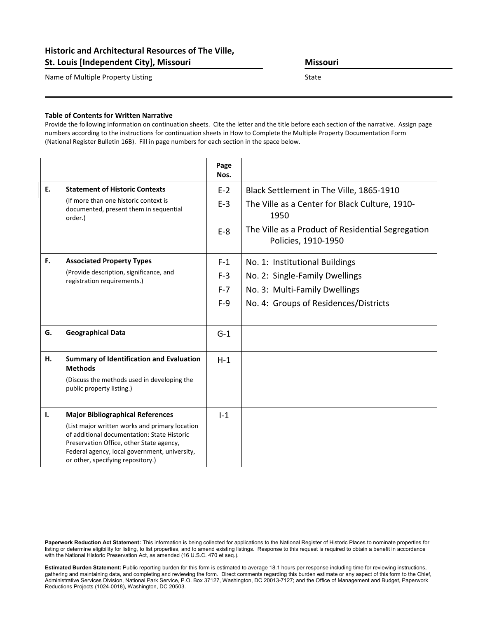#### Historic and Architectural Resources of The Ville, St. Louis [Independent City], Missouri Missouri Missouri

Name of Multiple Property Listing State State

#### Table of Contents for Written Narrative

Provide the following information on continuation sheets. Cite the letter and the title before each section of the narrative. Assign page numbers according to the instructions for continuation sheets in How to Complete the Multiple Property Documentation Form (National Register Bulletin 16B). Fill in page numbers for each section in the space below.

|    |                                                                                                                                                                                                                                                                            | Page<br>Nos.   |                                                                                                    |
|----|----------------------------------------------------------------------------------------------------------------------------------------------------------------------------------------------------------------------------------------------------------------------------|----------------|----------------------------------------------------------------------------------------------------|
| E. | <b>Statement of Historic Contexts</b><br>(If more than one historic context is<br>documented, present them in sequential<br>order.)                                                                                                                                        | $F-2$<br>$E-3$ | Black Settlement in The Ville, 1865-1910<br>The Ville as a Center for Black Culture, 1910-<br>1950 |
|    |                                                                                                                                                                                                                                                                            | $E-8$          | The Ville as a Product of Residential Segregation<br>Policies, 1910-1950                           |
| F. | <b>Associated Property Types</b>                                                                                                                                                                                                                                           | $F-1$          | No. 1: Institutional Buildings                                                                     |
|    | (Provide description, significance, and<br>registration requirements.)                                                                                                                                                                                                     | $F-3$          | No. 2: Single-Family Dwellings                                                                     |
|    |                                                                                                                                                                                                                                                                            | $F-7$          | No. 3: Multi-Family Dwellings                                                                      |
|    |                                                                                                                                                                                                                                                                            | $F-9$          | No. 4: Groups of Residences/Districts                                                              |
|    |                                                                                                                                                                                                                                                                            |                |                                                                                                    |
| G. | <b>Geographical Data</b>                                                                                                                                                                                                                                                   | $G-1$          |                                                                                                    |
| н. | <b>Summary of Identification and Evaluation</b><br><b>Methods</b>                                                                                                                                                                                                          | $H-1$          |                                                                                                    |
|    | (Discuss the methods used in developing the<br>public property listing.)                                                                                                                                                                                                   |                |                                                                                                    |
| Ι. | <b>Major Bibliographical References</b><br>(List major written works and primary location<br>of additional documentation: State Historic<br>Preservation Office, other State agency,<br>Federal agency, local government, university,<br>or other, specifying repository.) | $I-1$          |                                                                                                    |

Paperwork Reduction Act Statement: This information is being collected for applications to the National Register of Historic Places to nominate properties for listing or determine eligibility for listing, to list properties, and to amend existing listings. Response to this request is required to obtain a benefit in accordance with the National Historic Preservation Act, as amended (16 U.S.C. 470 et seq.).

Estimated Burden Statement: Public reporting burden for this form is estimated to average 18.1 hours per response including time for reviewing instructions, gathering and maintaining data, and completing and reviewing the form. Direct comments regarding this burden estimate or any aspect of this form to the Chief, Administrative Services Division, National Park Service, P.O. Box 37127, Washington, DC 20013-7127; and the Office of Management and Budget, Paperwork Reductions Projects (1024-0018), Washington, DC 20503.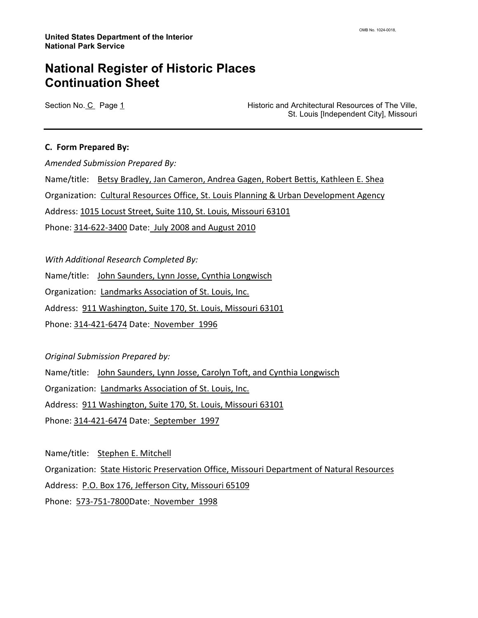Section No. C Page 1 **Historic and Architectural Resources of The Ville,** St. Louis [Independent City], Missouri

#### C. Form Prepared By:

Amended Submission Prepared By: Name/title: Betsy Bradley, Jan Cameron, Andrea Gagen, Robert Bettis, Kathleen E. Shea Organization: Cultural Resources Office, St. Louis Planning & Urban Development Agency Address: 1015 Locust Street, Suite 110, St. Louis, Missouri 63101 Phone: 314-622-3400 Date: July 2008 and August 2010

With Additional Research Completed By:

Name/title: John Saunders, Lynn Josse, Cynthia Longwisch

Organization: Landmarks Association of St. Louis, Inc.

Address: 911 Washington, Suite 170, St. Louis, Missouri 63101

Phone: 314-421-6474 Date: November 1996

Original Submission Prepared by:

Name/title: John Saunders, Lynn Josse, Carolyn Toft, and Cynthia Longwisch

Organization: Landmarks Association of St. Louis, Inc.

Address: 911 Washington, Suite 170, St. Louis, Missouri 63101

Phone: 314-421-6474 Date: September 1997

Name/title: Stephen E. Mitchell

Organization: State Historic Preservation Office, Missouri Department of Natural Resources

Address: P.O. Box 176, Jefferson City, Missouri 65109

Phone: 573-751-7800 Date: November 1998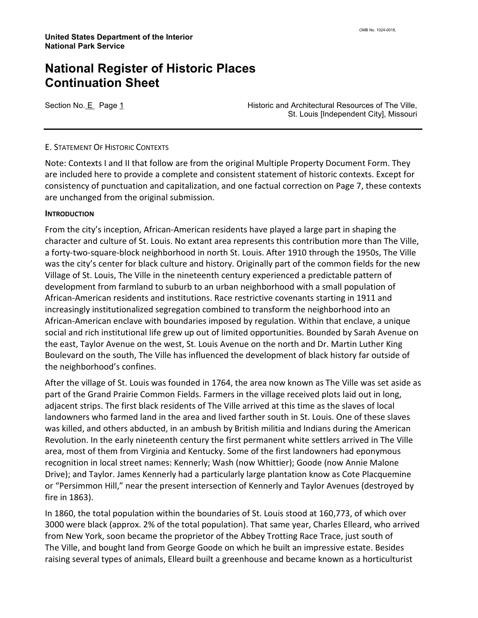Section No. E Page 1 **Historic and Architectural Resources of The Ville,** St. Louis [Independent City], Missouri

#### E. STATEMENT OF HISTORIC CONTEXTS

Note: Contexts I and II that follow are from the original Multiple Property Document Form. They are included here to provide a complete and consistent statement of historic contexts. Except for consistency of punctuation and capitalization, and one factual correction on Page 7, these contexts are unchanged from the original submission.

#### **INTRODUCTION**

From the city's inception, African-American residents have played a large part in shaping the character and culture of St. Louis. No extant area represents this contribution more than The Ville, a forty-two-square-block neighborhood in north St. Louis. After 1910 through the 1950s, The Ville was the city's center for black culture and history. Originally part of the common fields for the new Village of St. Louis, The Ville in the nineteenth century experienced a predictable pattern of development from farmland to suburb to an urban neighborhood with a small population of African-American residents and institutions. Race restrictive covenants starting in 1911 and increasingly institutionalized segregation combined to transform the neighborhood into an African-American enclave with boundaries imposed by regulation. Within that enclave, a unique social and rich institutional life grew up out of limited opportunities. Bounded by Sarah Avenue on the east, Taylor Avenue on the west, St. Louis Avenue on the north and Dr. Martin Luther King Boulevard on the south, The Ville has influenced the development of black history far outside of the neighborhood's confines.

After the village of St. Louis was founded in 1764, the area now known as The Ville was set aside as part of the Grand Prairie Common Fields. Farmers in the village received plots laid out in long, adjacent strips. The first black residents of The Ville arrived at this time as the slaves of local landowners who farmed land in the area and lived farther south in St. Louis. One of these slaves was killed, and others abducted, in an ambush by British militia and Indians during the American Revolution. In the early nineteenth century the first permanent white settlers arrived in The Ville area, most of them from Virginia and Kentucky. Some of the first landowners had eponymous recognition in local street names: Kennerly; Wash (now Whittier); Goode (now Annie Malone Drive); and Taylor. James Kennerly had a particularly large plantation know as Cote Placquemine or "Persimmon Hill," near the present intersection of Kennerly and Taylor Avenues (destroyed by fire in 1863).

In 1860, the total population within the boundaries of St. Louis stood at 160,773, of which over 3000 were black (approx. 2% of the total population). That same year, Charles Elleard, who arrived from New York, soon became the proprietor of the Abbey Trotting Race Trace, just south of The Ville, and bought land from George Goode on which he built an impressive estate. Besides raising several types of animals, Elleard built a greenhouse and became known as a horticulturist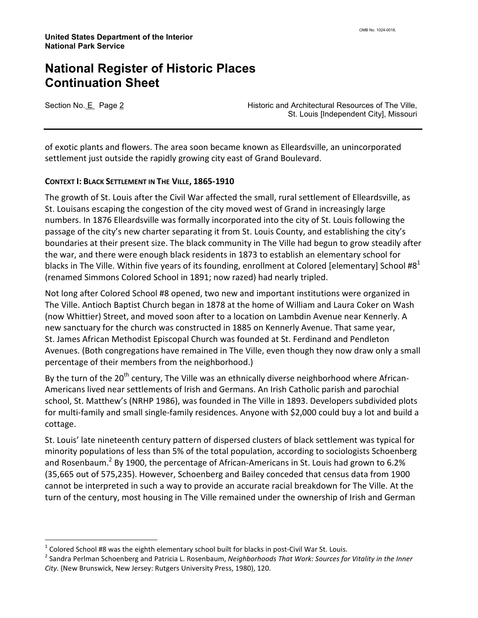l

Section No. E Page 2 **Historic and Architectural Resources of The Ville**, St. Louis [Independent City], Missouri

of exotic plants and flowers. The area soon became known as Elleardsville, an unincorporated settlement just outside the rapidly growing city east of Grand Boulevard.

#### CONTEXT I: BLACK SETTLEMENT IN THE VILLE, 1865-1910

The growth of St. Louis after the Civil War affected the small, rural settlement of Elleardsville, as St. Louisans escaping the congestion of the city moved west of Grand in increasingly large numbers. In 1876 Elleardsville was formally incorporated into the city of St. Louis following the passage of the city's new charter separating it from St. Louis County, and establishing the city's boundaries at their present size. The black community in The Ville had begun to grow steadily after the war, and there were enough black residents in 1873 to establish an elementary school for blacks in The Ville. Within five years of its founding, enrollment at Colored [elementary] School #8<sup>1</sup> (renamed Simmons Colored School in 1891; now razed) had nearly tripled.

Not long after Colored School #8 opened, two new and important institutions were organized in The Ville. Antioch Baptist Church began in 1878 at the home of William and Laura Coker on Wash (now Whittier) Street, and moved soon after to a location on Lambdin Avenue near Kennerly. A new sanctuary for the church was constructed in 1885 on Kennerly Avenue. That same year, St. James African Methodist Episcopal Church was founded at St. Ferdinand and Pendleton Avenues. (Both congregations have remained in The Ville, even though they now draw only a small percentage of their members from the neighborhood.)

By the turn of the  $20<sup>th</sup>$  century, The Ville was an ethnically diverse neighborhood where African-Americans lived near settlements of Irish and Germans. An Irish Catholic parish and parochial school, St. Matthew's (NRHP 1986), was founded in The Ville in 1893. Developers subdivided plots for multi-family and small single-family residences. Anyone with \$2,000 could buy a lot and build a cottage.

St. Louis' late nineteenth century pattern of dispersed clusters of black settlement was typical for minority populations of less than 5% of the total population, according to sociologists Schoenberg and Rosenbaum.<sup>2</sup> By 1900, the percentage of African-Americans in St. Louis had grown to 6.2% (35,665 out of 575,235). However, Schoenberg and Bailey conceded that census data from 1900 cannot be interpreted in such a way to provide an accurate racial breakdown for The Ville. At the turn of the century, most housing in The Ville remained under the ownership of Irish and German

 $^1$  Colored School #8 was the eighth elementary school built for blacks in post-Civil War St. Louis.

<sup>&</sup>lt;sup>2</sup> Sandra Perlman Schoenberg and Patricia L. Rosenbaum, Neighborhoods That Work: Sources for Vitality in the Inner City. (New Brunswick, New Jersey: Rutgers University Press, 1980), 120.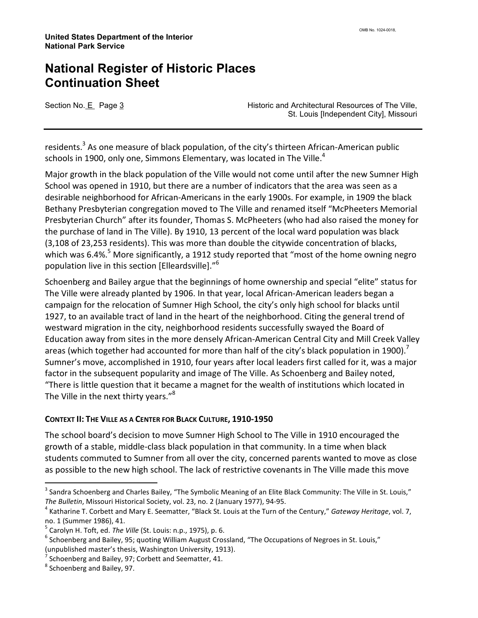Section No. E Page 3 **Historic and Architectural Resources of The Ville,** St. Louis [Independent City], Missouri

residents.<sup>3</sup> As one measure of black population, of the city's thirteen African-American public schools in 1900, only one, Simmons Elementary, was located in The Ville.<sup>4</sup>

Major growth in the black population of the Ville would not come until after the new Sumner High School was opened in 1910, but there are a number of indicators that the area was seen as a desirable neighborhood for African-Americans in the early 1900s. For example, in 1909 the black Bethany Presbyterian congregation moved to The Ville and renamed itself "McPheeters Memorial Presbyterian Church" after its founder, Thomas S. McPheeters (who had also raised the money for the purchase of land in The Ville). By 1910, 13 percent of the local ward population was black (3,108 of 23,253 residents). This was more than double the citywide concentration of blacks, which was 6.4%.<sup>5</sup> More significantly, a 1912 study reported that "most of the home owning negro population live in this section [Elleardsville]."<sup>6</sup>

Schoenberg and Bailey argue that the beginnings of home ownership and special "elite" status for The Ville were already planted by 1906. In that year, local African-American leaders began a campaign for the relocation of Sumner High School, the city's only high school for blacks until 1927, to an available tract of land in the heart of the neighborhood. Citing the general trend of westward migration in the city, neighborhood residents successfully swayed the Board of Education away from sites in the more densely African-American Central City and Mill Creek Valley areas (which together had accounted for more than half of the city's black population in 1900). Sumner's move, accomplished in 1910, four years after local leaders first called for it, was a major factor in the subsequent popularity and image of The Ville. As Schoenberg and Bailey noted, "There is little question that it became a magnet for the wealth of institutions which located in The Ville in the next thirty years."<sup>8</sup>

#### CONTEXT II: THE VILLE AS A CENTER FOR BLACK CULTURE, 1910-1950

The school board's decision to move Sumner High School to The Ville in 1910 encouraged the growth of a stable, middle-class black population in that community. In a time when black students commuted to Sumner from all over the city, concerned parents wanted to move as close as possible to the new high school. The lack of restrictive covenants in The Ville made this move

<sup>&</sup>lt;sup>3</sup> Sandra Schoenberg and Charles Bailey, "The Symbolic Meaning of an Elite Black Community: The Ville in St. Louis," The Bulletin, Missouri Historical Society, vol. 23, no. 2 (January 1977), 94-95.

<sup>&</sup>lt;sup>4</sup> Katharine T. Corbett and Mary E. Seematter, "Black St. Louis at the Turn of the Century," Gateway Heritage, vol. 7, no. 1 (Summer 1986), 41.

 $^5$  Carolyn H. Toft, ed. The Ville (St. Louis: n.p., 1975), p. 6.

 $^6$  Schoenberg and Bailey, 95; quoting William August Crossland, "The Occupations of Negroes in St. Louis," (unpublished master's thesis, Washington University, 1913).

 $^7$  Schoenberg and Bailey, 97; Corbett and Seematter, 41.

<sup>&</sup>lt;sup>8</sup> Schoenberg and Bailey, 97.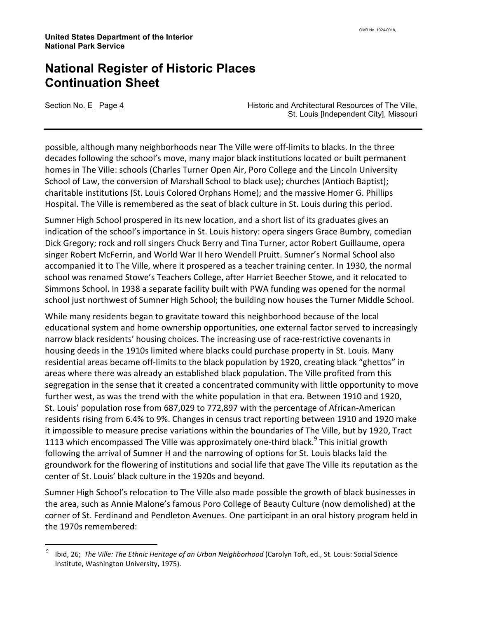l

Section No. E Page 4 **Historic and Architectural Resources of The Ville**, St. Louis [Independent City], Missouri

possible, although many neighborhoods near The Ville were off-limits to blacks. In the three decades following the school's move, many major black institutions located or built permanent homes in The Ville: schools (Charles Turner Open Air, Poro College and the Lincoln University School of Law, the conversion of Marshall School to black use); churches (Antioch Baptist); charitable institutions (St. Louis Colored Orphans Home); and the massive Homer G. Phillips Hospital. The Ville is remembered as the seat of black culture in St. Louis during this period.

Sumner High School prospered in its new location, and a short list of its graduates gives an indication of the school's importance in St. Louis history: opera singers Grace Bumbry, comedian Dick Gregory; rock and roll singers Chuck Berry and Tina Turner, actor Robert Guillaume, opera singer Robert McFerrin, and World War II hero Wendell Pruitt. Sumner's Normal School also accompanied it to The Ville, where it prospered as a teacher training center. In 1930, the normal school was renamed Stowe's Teachers College, after Harriet Beecher Stowe, and it relocated to Simmons School. In 1938 a separate facility built with PWA funding was opened for the normal school just northwest of Sumner High School; the building now houses the Turner Middle School.

While many residents began to gravitate toward this neighborhood because of the local educational system and home ownership opportunities, one external factor served to increasingly narrow black residents' housing choices. The increasing use of race-restrictive covenants in housing deeds in the 1910s limited where blacks could purchase property in St. Louis. Many residential areas became off-limits to the black population by 1920, creating black "ghettos" in areas where there was already an established black population. The Ville profited from this segregation in the sense that it created a concentrated community with little opportunity to move further west, as was the trend with the white population in that era. Between 1910 and 1920, St. Louis' population rose from 687,029 to 772,897 with the percentage of African-American residents rising from 6.4% to 9%. Changes in census tract reporting between 1910 and 1920 make it impossible to measure precise variations within the boundaries of The Ville, but by 1920, Tract 1113 which encompassed The Ville was approximately one-third black. $^9$  This initial growth following the arrival of Sumner H and the narrowing of options for St. Louis blacks laid the groundwork for the flowering of institutions and social life that gave The Ville its reputation as the center of St. Louis' black culture in the 1920s and beyond.

Sumner High School's relocation to The Ville also made possible the growth of black businesses in the area, such as Annie Malone's famous Poro College of Beauty Culture (now demolished) at the corner of St. Ferdinand and Pendleton Avenues. One participant in an oral history program held in the 1970s remembered:

<sup>9</sup> Ibid, 26; The Ville: The Ethnic Heritage of an Urban Neighborhood (Carolyn Toft, ed., St. Louis: Social Science Institute, Washington University, 1975).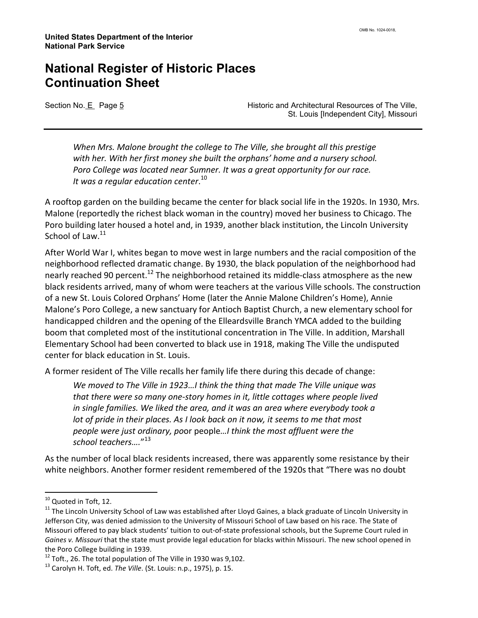Section No. E Page 5 **Historic and Architectural Resources of The Ville**, St. Louis [Independent City], Missouri

When Mrs. Malone brought the college to The Ville, she brought all this prestige with her. With her first money she built the orphans' home and a nursery school. Poro College was located near Sumner. It was a great opportunity for our race. It was a regular education center. $^{\rm 10}$ 

A rooftop garden on the building became the center for black social life in the 1920s. In 1930, Mrs. Malone (reportedly the richest black woman in the country) moved her business to Chicago. The Poro building later housed a hotel and, in 1939, another black institution, the Lincoln University School of Law.<sup>11</sup>

After World War I, whites began to move west in large numbers and the racial composition of the neighborhood reflected dramatic change. By 1930, the black population of the neighborhood had nearly reached 90 percent.<sup>12</sup> The neighborhood retained its middle-class atmosphere as the new black residents arrived, many of whom were teachers at the various Ville schools. The construction of a new St. Louis Colored Orphans' Home (later the Annie Malone Children's Home), Annie Malone's Poro College, a new sanctuary for Antioch Baptist Church, a new elementary school for handicapped children and the opening of the Elleardsville Branch YMCA added to the building boom that completed most of the institutional concentration in The Ville. In addition, Marshall Elementary School had been converted to black use in 1918, making The Ville the undisputed center for black education in St. Louis.

A former resident of The Ville recalls her family life there during this decade of change:

We moved to The Ville in 1923…I think the thing that made The Ville unique was that there were so many one-story homes in it, little cottages where people lived in single families. We liked the area, and it was an area where everybody took a lot of pride in their places. As I look back on it now, it seems to me that most people were just ordinary, poor people…I think the most affluent were the school teachers…." 13

As the number of local black residents increased, there was apparently some resistance by their white neighbors. Another former resident remembered of the 1920s that "There was no doubt

<sup>&</sup>lt;sup>10</sup> Quoted in Toft, 12.

<sup>&</sup>lt;sup>11</sup> The Lincoln University School of Law was established after Lloyd Gaines, a black graduate of Lincoln University in Jefferson City, was denied admission to the University of Missouri School of Law based on his race. The State of Missouri offered to pay black students' tuition to out-of-state professional schools, but the Supreme Court ruled in Gaines v. Missouri that the state must provide legal education for blacks within Missouri. The new school opened in the Poro College building in 1939.

 $12$  Toft., 26. The total population of The Ville in 1930 was 9,102.

<sup>&</sup>lt;sup>13</sup> Carolyn H. Toft, ed. The Ville. (St. Louis: n.p., 1975), p. 15.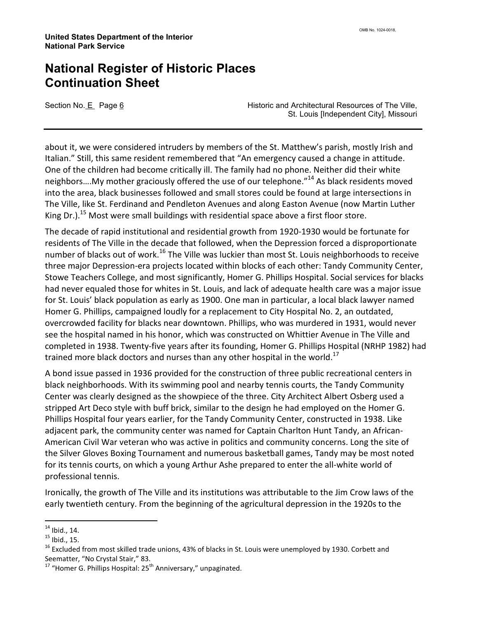Section No. E Page 6 **Historic and Architectural Resources of The Ville**, St. Louis [Independent City], Missouri

about it, we were considered intruders by members of the St. Matthew's parish, mostly Irish and Italian." Still, this same resident remembered that "An emergency caused a change in attitude. One of the children had become critically ill. The family had no phone. Neither did their white neighbors....My mother graciously offered the use of our telephone."<sup>14</sup> As black residents moved into the area, black businesses followed and small stores could be found at large intersections in The Ville, like St. Ferdinand and Pendleton Avenues and along Easton Avenue (now Martin Luther King Dr.).<sup>15</sup> Most were small buildings with residential space above a first floor store.

The decade of rapid institutional and residential growth from 1920-1930 would be fortunate for residents of The Ville in the decade that followed, when the Depression forced a disproportionate number of blacks out of work.<sup>16</sup> The Ville was luckier than most St. Louis neighborhoods to receive three major Depression-era projects located within blocks of each other: Tandy Community Center, Stowe Teachers College, and most significantly, Homer G. Phillips Hospital. Social services for blacks had never equaled those for whites in St. Louis, and lack of adequate health care was a major issue for St. Louis' black population as early as 1900. One man in particular, a local black lawyer named Homer G. Phillips, campaigned loudly for a replacement to City Hospital No. 2, an outdated, overcrowded facility for blacks near downtown. Phillips, who was murdered in 1931, would never see the hospital named in his honor, which was constructed on Whittier Avenue in The Ville and completed in 1938. Twenty-five years after its founding, Homer G. Phillips Hospital (NRHP 1982) had trained more black doctors and nurses than any other hospital in the world.<sup>17</sup>

A bond issue passed in 1936 provided for the construction of three public recreational centers in black neighborhoods. With its swimming pool and nearby tennis courts, the Tandy Community Center was clearly designed as the showpiece of the three. City Architect Albert Osberg used a stripped Art Deco style with buff brick, similar to the design he had employed on the Homer G. Phillips Hospital four years earlier, for the Tandy Community Center, constructed in 1938. Like adjacent park, the community center was named for Captain Charlton Hunt Tandy, an African-American Civil War veteran who was active in politics and community concerns. Long the site of the Silver Gloves Boxing Tournament and numerous basketball games, Tandy may be most noted for its tennis courts, on which a young Arthur Ashe prepared to enter the all-white world of professional tennis.

Ironically, the growth of The Ville and its institutions was attributable to the Jim Crow laws of the early twentieth century. From the beginning of the agricultural depression in the 1920s to the

 $\overline{a}$ 

 $14$  Ibid., 14.

 $15$  Ibid., 15.

<sup>&</sup>lt;sup>16</sup> Excluded from most skilled trade unions, 43% of blacks in St. Louis were unemployed by 1930. Corbett and Seematter, "No Crystal Stair," 83.

 $17$  "Homer G. Phillips Hospital:  $25<sup>th</sup>$  Anniversary," unpaginated.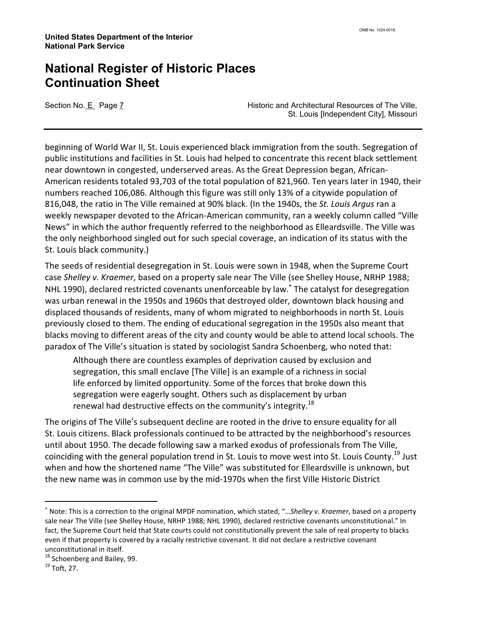Section No. E Page 7 **Historic and Architectural Resources of The Ville,** St. Louis [Independent City], Missouri

beginning of World War II, St. Louis experienced black immigration from the south. Segregation of public institutions and facilities in St. Louis had helped to concentrate this recent black settlement near downtown in congested, underserved areas. As the Great Depression began, African-American residents totaled 93,703 of the total population of 821,960. Ten years later in 1940, their numbers reached 106,086. Although this figure was still only 13% of a citywide population of 816,048, the ratio in The Ville remained at 90% black. (In the 1940s, the St. Louis Argus ran a weekly newspaper devoted to the African-American community, ran a weekly column called "Ville News" in which the author frequently referred to the neighborhood as Elleardsville. The Ville was the only neighborhood singled out for such special coverage, an indication of its status with the St. Louis black community.)

The seeds of residential desegregation in St. Louis were sown in 1948, when the Supreme Court case Shelley v. Kraemer, based on a property sale near The Ville (see Shelley House, NRHP 1988; NHL 1990), declared restricted covenants unenforceable by law.<sup>\*</sup> The catalyst for desegregation was urban renewal in the 1950s and 1960s that destroyed older, downtown black housing and displaced thousands of residents, many of whom migrated to neighborhoods in north St. Louis previously closed to them. The ending of educational segregation in the 1950s also meant that blacks moving to different areas of the city and county would be able to attend local schools. The paradox of The Ville's situation is stated by sociologist Sandra Schoenberg, who noted that:

Although there are countless examples of deprivation caused by exclusion and segregation, this small enclave [The Ville] is an example of a richness in social life enforced by limited opportunity. Some of the forces that broke down this segregation were eagerly sought. Others such as displacement by urban renewal had destructive effects on the community's integrity.<sup>18</sup>

The origins of The Ville's subsequent decline are rooted in the drive to ensure equality for all St. Louis citizens. Black professionals continued to be attracted by the neighborhood's resources until about 1950. The decade following saw a marked exodus of professionals from The Ville, coinciding with the general population trend in St. Louis to move west into St. Louis County.<sup>19</sup> Just when and how the shortened name "The Ville" was substituted for Elleardsville is unknown, but the new name was in common use by the mid-1970s when the first Ville Historic District

<sup>∗</sup> Note: This is a correction to the original MPDF nomination, which stated, "…Shelley v. Kraemer, based on a property sale near The Ville (see Shelley House, NRHP 1988; NHL 1990), declared restrictive covenants unconstitutional." In fact, the Supreme Court held that State courts could not constitutionally prevent the sale of real property to blacks even if that property is covered by a racially restrictive covenant. It did not declare a restrictive covenant unconstitutional in itself.

<sup>&</sup>lt;sup>18</sup> Schoenberg and Bailey, 99.

<sup>19</sup> Toft, 27.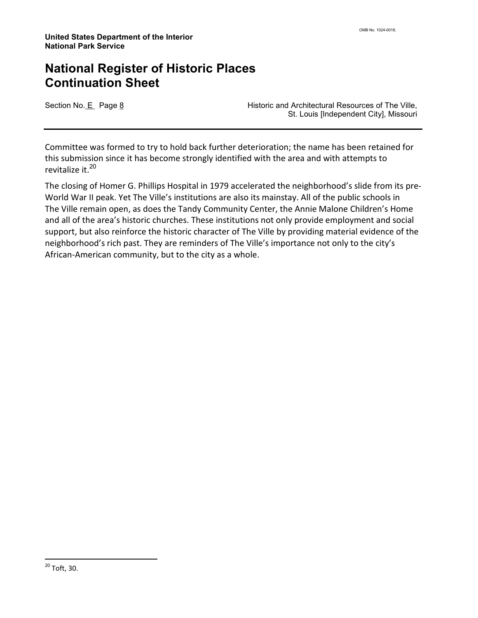Section No. E Page 8 **Historic and Architectural Resources of The Ville**, St. Louis [Independent City], Missouri

Committee was formed to try to hold back further deterioration; the name has been retained for this submission since it has become strongly identified with the area and with attempts to revitalize it.<sup>20</sup>

The closing of Homer G. Phillips Hospital in 1979 accelerated the neighborhood's slide from its pre-World War II peak. Yet The Ville's institutions are also its mainstay. All of the public schools in The Ville remain open, as does the Tandy Community Center, the Annie Malone Children's Home and all of the area's historic churches. These institutions not only provide employment and social support, but also reinforce the historic character of The Ville by providing material evidence of the neighborhood's rich past. They are reminders of The Ville's importance not only to the city's African-American community, but to the city as a whole.

 $^{20}$  Toft, 30.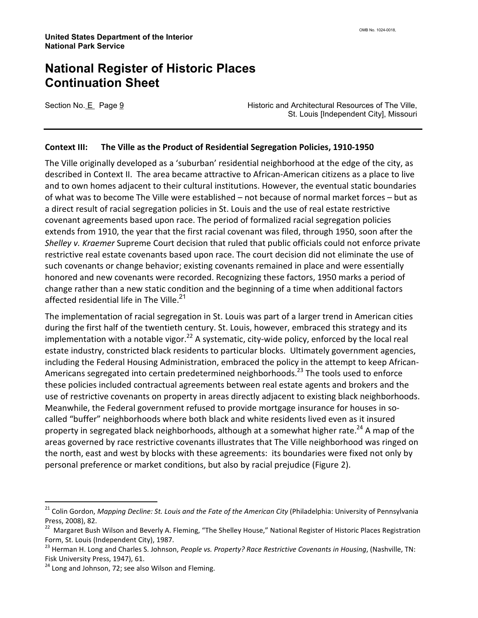Section No. E Page 9 **Historic and Architectural Resources of The Ville**, St. Louis [Independent City], Missouri

#### Context III: The Ville as the Product of Residential Segregation Policies, 1910-1950

The Ville originally developed as a 'suburban' residential neighborhood at the edge of the city, as described in Context II. The area became attractive to African-American citizens as a place to live and to own homes adjacent to their cultural institutions. However, the eventual static boundaries of what was to become The Ville were established – not because of normal market forces – but as a direct result of racial segregation policies in St. Louis and the use of real estate restrictive covenant agreements based upon race. The period of formalized racial segregation policies extends from 1910, the year that the first racial covenant was filed, through 1950, soon after the Shelley v. Kraemer Supreme Court decision that ruled that public officials could not enforce private restrictive real estate covenants based upon race. The court decision did not eliminate the use of such covenants or change behavior; existing covenants remained in place and were essentially honored and new covenants were recorded. Recognizing these factors, 1950 marks a period of change rather than a new static condition and the beginning of a time when additional factors affected residential life in The Ville. $^{21}$ 

The implementation of racial segregation in St. Louis was part of a larger trend in American cities during the first half of the twentieth century. St. Louis, however, embraced this strategy and its implementation with a notable vigor.<sup>22</sup> A systematic, city-wide policy, enforced by the local real estate industry, constricted black residents to particular blocks. Ultimately government agencies, including the Federal Housing Administration, embraced the policy in the attempt to keep African-Americans segregated into certain predetermined neighborhoods.<sup>23</sup> The tools used to enforce these policies included contractual agreements between real estate agents and brokers and the use of restrictive covenants on property in areas directly adjacent to existing black neighborhoods. Meanwhile, the Federal government refused to provide mortgage insurance for houses in socalled "buffer" neighborhoods where both black and white residents lived even as it insured property in segregated black neighborhoods, although at a somewhat higher rate.<sup>24</sup> A map of the areas governed by race restrictive covenants illustrates that The Ville neighborhood was ringed on the north, east and west by blocks with these agreements: its boundaries were fixed not only by personal preference or market conditions, but also by racial prejudice (Figure 2).

<sup>&</sup>lt;sup>21</sup> Colin Gordon, Mapping Decline: St. Louis and the Fate of the American City (Philadelphia: University of Pennsylvania Press, 2008), 82.

<sup>&</sup>lt;sup>22</sup> Margaret Bush Wilson and Beverly A. Fleming, "The Shelley House," National Register of Historic Places Registration Form, St. Louis (Independent City), 1987.

<sup>&</sup>lt;sup>23</sup> Herman H. Long and Charles S. Johnson, People vs. Property? Race Restrictive Covenants in Housing, (Nashville, TN: Fisk University Press, 1947), 61.

<sup>&</sup>lt;sup>24</sup> Long and Johnson, 72; see also Wilson and Fleming.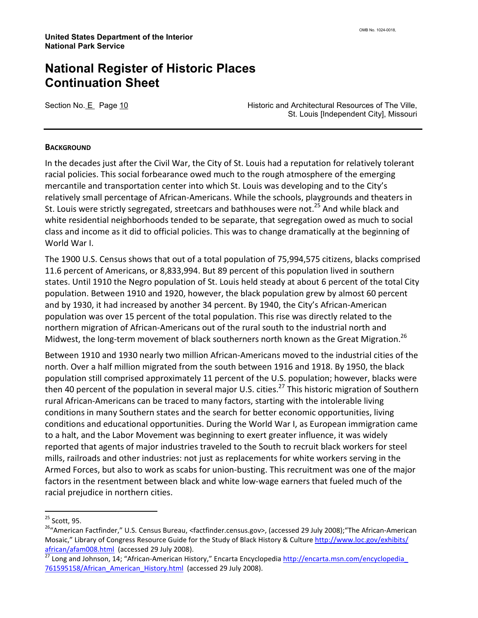Section No. E Page 10 **Historic and Architectural Resources of The Ville**, St. Louis [Independent City], Missouri

#### **BACKGROUND**

In the decades just after the Civil War, the City of St. Louis had a reputation for relatively tolerant racial policies. This social forbearance owed much to the rough atmosphere of the emerging mercantile and transportation center into which St. Louis was developing and to the City's relatively small percentage of African-Americans. While the schools, playgrounds and theaters in St. Louis were strictly segregated, streetcars and bathhouses were not.<sup>25</sup> And while black and white residential neighborhoods tended to be separate, that segregation owed as much to social class and income as it did to official policies. This was to change dramatically at the beginning of World War I.

The 1900 U.S. Census shows that out of a total population of 75,994,575 citizens, blacks comprised 11.6 percent of Americans, or 8,833,994. But 89 percent of this population lived in southern states. Until 1910 the Negro population of St. Louis held steady at about 6 percent of the total City population. Between 1910 and 1920, however, the black population grew by almost 60 percent and by 1930, it had increased by another 34 percent. By 1940, the City's African-American population was over 15 percent of the total population. This rise was directly related to the northern migration of African-Americans out of the rural south to the industrial north and Midwest, the long-term movement of black southerners north known as the Great Migration.<sup>26</sup>

Between 1910 and 1930 nearly two million African-Americans moved to the industrial cities of the north. Over a half million migrated from the south between 1916 and 1918. By 1950, the black population still comprised approximately 11 percent of the U.S. population; however, blacks were then 40 percent of the population in several major U.S. cities.<sup>27</sup> This historic migration of Southern rural African-Americans can be traced to many factors, starting with the intolerable living conditions in many Southern states and the search for better economic opportunities, living conditions and educational opportunities. During the World War I, as European immigration came to a halt, and the Labor Movement was beginning to exert greater influence, it was widely reported that agents of major industries traveled to the South to recruit black workers for steel mills, railroads and other industries: not just as replacements for white workers serving in the Armed Forces, but also to work as scabs for union-busting. This recruitment was one of the major factors in the resentment between black and white low-wage earners that fueled much of the racial prejudice in northern cities.

<sup>25</sup> Scott, 95.

<sup>&</sup>lt;sup>26</sup>"American Factfinder," U.S. Census Bureau, <factfinder.census.gov>, (accessed 29 July 2008); The African-American Mosaic," Library of Congress Resource Guide for the Study of Black History & Culture http://www.loc.gov/exhibits/ african/afam008.html (accessed 29 July 2008).

<sup>&</sup>lt;sup>27</sup> Long and Johnson, 14; "African-American History," Encarta Encyclopedia http://encarta.msn.com/encyclopedia 761595158/African American History.html (accessed 29 July 2008).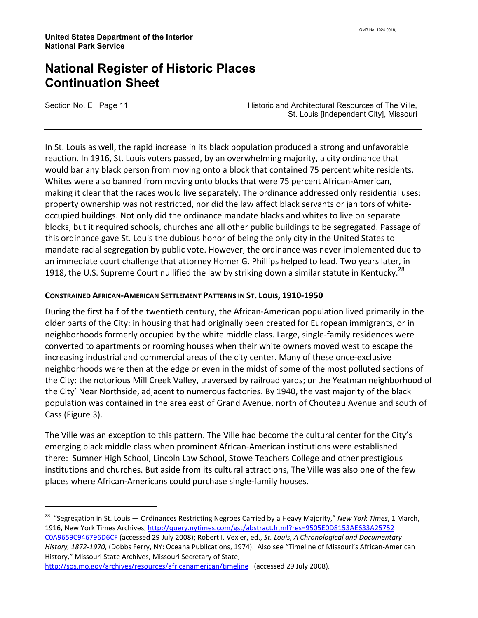l

Section No. E Page 11 **Historic and Architectural Resources of The Ville,** St. Louis [Independent City], Missouri

In St. Louis as well, the rapid increase in its black population produced a strong and unfavorable reaction. In 1916, St. Louis voters passed, by an overwhelming majority, a city ordinance that would bar any black person from moving onto a block that contained 75 percent white residents. Whites were also banned from moving onto blocks that were 75 percent African-American, making it clear that the races would live separately. The ordinance addressed only residential uses: property ownership was not restricted, nor did the law affect black servants or janitors of whiteoccupied buildings. Not only did the ordinance mandate blacks and whites to live on separate blocks, but it required schools, churches and all other public buildings to be segregated. Passage of this ordinance gave St. Louis the dubious honor of being the only city in the United States to mandate racial segregation by public vote. However, the ordinance was never implemented due to an immediate court challenge that attorney Homer G. Phillips helped to lead. Two years later, in 1918, the U.S. Supreme Court nullified the law by striking down a similar statute in Kentucky.<sup>28</sup>

#### CONSTRAINED AFRICAN-AMERICAN SETTLEMENT PATTERNS IN ST. LOUIS, 1910-1950

During the first half of the twentieth century, the African-American population lived primarily in the older parts of the City: in housing that had originally been created for European immigrants, or in neighborhoods formerly occupied by the white middle class. Large, single-family residences were converted to apartments or rooming houses when their white owners moved west to escape the increasing industrial and commercial areas of the city center. Many of these once-exclusive neighborhoods were then at the edge or even in the midst of some of the most polluted sections of the City: the notorious Mill Creek Valley, traversed by railroad yards; or the Yeatman neighborhood of the City' Near Northside, adjacent to numerous factories. By 1940, the vast majority of the black population was contained in the area east of Grand Avenue, north of Chouteau Avenue and south of Cass (Figure 3).

The Ville was an exception to this pattern. The Ville had become the cultural center for the City's emerging black middle class when prominent African-American institutions were established there: Sumner High School, Lincoln Law School, Stowe Teachers College and other prestigious institutions and churches. But aside from its cultural attractions, The Ville was also one of the few places where African-Americans could purchase single-family houses.

<sup>28</sup> "Segregation in St. Louis — Ordinances Restricting Negroes Carried by a Heavy Majority," New York Times, 1 March, 1916, New York Times Archives, http://query.nytimes.com/gst/abstract.html?res=9505E0D8153AE633A25752 C0A9659C946796D6CF (accessed 29 July 2008); Robert I. Vexler, ed., St. Louis, A Chronological and Documentary History, 1872-1970, (Dobbs Ferry, NY: Oceana Publications, 1974). Also see "Timeline of Missouri's African-American History," Missouri State Archives, Missouri Secretary of State,

http://sos.mo.gov/archives/resources/africanamerican/timeline (accessed 29 July 2008).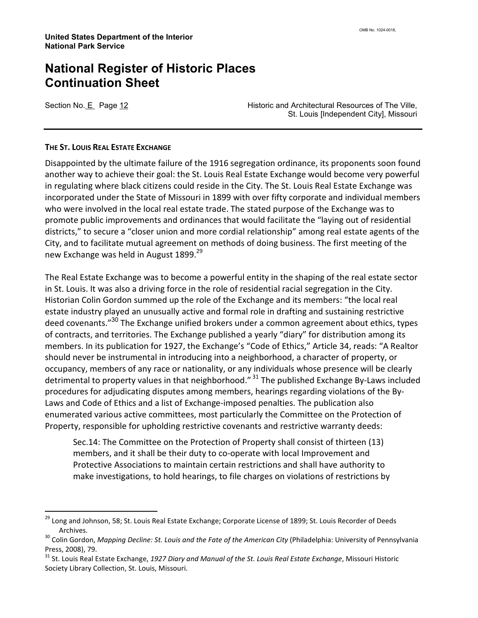l

Section No. E Page 12 **Historic and Architectural Resources of The Ville**, St. Louis [Independent City], Missouri

#### THE ST. LOUIS REAL ESTATE EXCHANGE

Disappointed by the ultimate failure of the 1916 segregation ordinance, its proponents soon found another way to achieve their goal: the St. Louis Real Estate Exchange would become very powerful in regulating where black citizens could reside in the City. The St. Louis Real Estate Exchange was incorporated under the State of Missouri in 1899 with over fifty corporate and individual members who were involved in the local real estate trade. The stated purpose of the Exchange was to promote public improvements and ordinances that would facilitate the "laying out of residential districts," to secure a "closer union and more cordial relationship" among real estate agents of the City, and to facilitate mutual agreement on methods of doing business. The first meeting of the new Exchange was held in August 1899.<sup>29</sup>

The Real Estate Exchange was to become a powerful entity in the shaping of the real estate sector in St. Louis. It was also a driving force in the role of residential racial segregation in the City. Historian Colin Gordon summed up the role of the Exchange and its members: "the local real estate industry played an unusually active and formal role in drafting and sustaining restrictive deed covenants."<sup>30</sup> The Exchange unified brokers under a common agreement about ethics, types of contracts, and territories. The Exchange published a yearly "diary" for distribution among its members. In its publication for 1927, the Exchange's "Code of Ethics," Article 34, reads: "A Realtor should never be instrumental in introducing into a neighborhood, a character of property, or occupancy, members of any race or nationality, or any individuals whose presence will be clearly detrimental to property values in that neighborhood."  $31$  The published Exchange By-Laws included procedures for adjudicating disputes among members, hearings regarding violations of the By-Laws and Code of Ethics and a list of Exchange-imposed penalties. The publication also enumerated various active committees, most particularly the Committee on the Protection of Property, responsible for upholding restrictive covenants and restrictive warranty deeds:

Sec.14: The Committee on the Protection of Property shall consist of thirteen (13) members, and it shall be their duty to co-operate with local Improvement and Protective Associations to maintain certain restrictions and shall have authority to make investigations, to hold hearings, to file charges on violations of restrictions by

<sup>&</sup>lt;sup>29</sup> Long and Johnson, 58; St. Louis Real Estate Exchange; Corporate License of 1899; St. Louis Recorder of Deeds Archives.

<sup>&</sup>lt;sup>30</sup> Colin Gordon, Mapping Decline: St. Louis and the Fate of the American City (Philadelphia: University of Pennsylvania Press, 2008), 79.

 $31$  St. Louis Real Estate Exchange, 1927 Diary and Manual of the St. Louis Real Estate Exchange, Missouri Historic Society Library Collection, St. Louis, Missouri.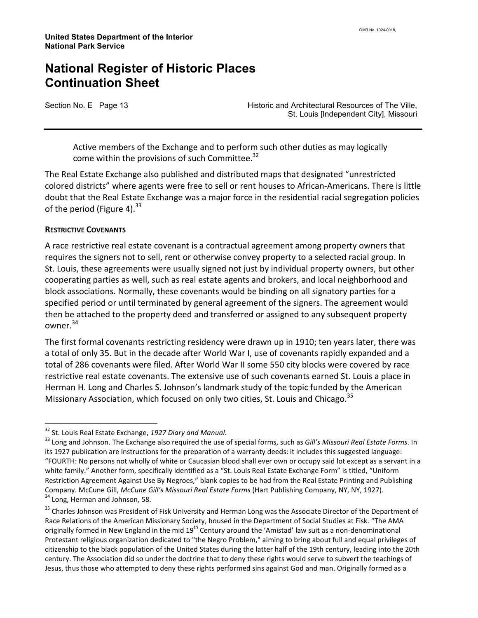Section No. E Page 13 **Historic and Architectural Resources of The Ville,** St. Louis [Independent City], Missouri

Active members of the Exchange and to perform such other duties as may logically come within the provisions of such Committee.<sup>32</sup>

The Real Estate Exchange also published and distributed maps that designated "unrestricted colored districts" where agents were free to sell or rent houses to African-Americans. There is little doubt that the Real Estate Exchange was a major force in the residential racial segregation policies of the period (Figure 4). $^{33}$ 

#### RESTRICTIVE COVENANTS

l

A race restrictive real estate covenant is a contractual agreement among property owners that requires the signers not to sell, rent or otherwise convey property to a selected racial group. In St. Louis, these agreements were usually signed not just by individual property owners, but other cooperating parties as well, such as real estate agents and brokers, and local neighborhood and block associations. Normally, these covenants would be binding on all signatory parties for a specified period or until terminated by general agreement of the signers. The agreement would then be attached to the property deed and transferred or assigned to any subsequent property owner.<sup>34</sup>

The first formal covenants restricting residency were drawn up in 1910; ten years later, there was a total of only 35. But in the decade after World War I, use of covenants rapidly expanded and a total of 286 covenants were filed. After World War II some 550 city blocks were covered by race restrictive real estate covenants. The extensive use of such covenants earned St. Louis a place in Herman H. Long and Charles S. Johnson's landmark study of the topic funded by the American Missionary Association, which focused on only two cities, St. Louis and Chicago.<sup>35</sup>

<sup>&</sup>lt;sup>32</sup> St. Louis Real Estate Exchange, 1927 Diary and Manual.

<sup>&</sup>lt;sup>33</sup> Long and Johnson. The Exchange also required the use of special forms, such as Gill's Missouri Real Estate Forms. In its 1927 publication are instructions for the preparation of a warranty deeds: it includes this suggested language: "FOURTH: No persons not wholly of white or Caucasian blood shall ever own or occupy said lot except as a servant in a white family." Another form, specifically identified as a "St. Louis Real Estate Exchange Form" is titled, "Uniform Restriction Agreement Against Use By Negroes," blank copies to be had from the Real Estate Printing and Publishing Company. McCune Gill, McCune Gill's Missouri Real Estate Forms (Hart Publishing Company, NY, NY, 1927). <sup>34</sup> Long, Herman and Johnson, 58.

<sup>&</sup>lt;sup>35</sup> Charles Johnson was President of Fisk University and Herman Long was the Associate Director of the Department of Race Relations of the American Missionary Society, housed in the Department of Social Studies at Fisk. "The AMA originally formed in New England in the mid 19<sup>th</sup> Century around the 'Amistad' law suit as a non-denominational Protestant religious organization dedicated to "the Negro Problem," aiming to bring about full and equal privileges of citizenship to the black population of the United States during the latter half of the 19th century, leading into the 20th century. The Association did so under the doctrine that to deny these rights would serve to subvert the teachings of Jesus, thus those who attempted to deny these rights performed sins against God and man. Originally formed as a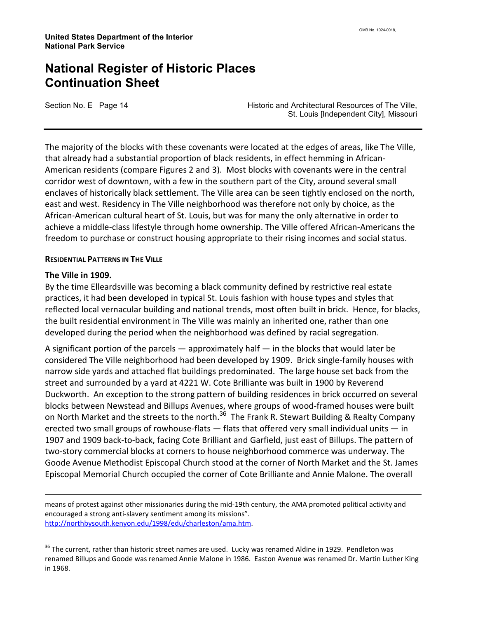Section No. E Page 14 **Historic and Architectural Resources of The Ville**, St. Louis [Independent City], Missouri

The majority of the blocks with these covenants were located at the edges of areas, like The Ville, that already had a substantial proportion of black residents, in effect hemming in African-American residents (compare Figures 2 and 3). Most blocks with covenants were in the central corridor west of downtown, with a few in the southern part of the City, around several small enclaves of historically black settlement. The Ville area can be seen tightly enclosed on the north, east and west. Residency in The Ville neighborhood was therefore not only by choice, as the African-American cultural heart of St. Louis, but was for many the only alternative in order to achieve a middle-class lifestyle through home ownership. The Ville offered African-Americans the freedom to purchase or construct housing appropriate to their rising incomes and social status.

#### RESIDENTIAL PATTERNS IN THE VILLE

#### The Ville in 1909.

l

By the time Elleardsville was becoming a black community defined by restrictive real estate practices, it had been developed in typical St. Louis fashion with house types and styles that reflected local vernacular building and national trends, most often built in brick. Hence, for blacks, the built residential environment in The Ville was mainly an inherited one, rather than one developed during the period when the neighborhood was defined by racial segregation.

A significant portion of the parcels  $-$  approximately half  $-$  in the blocks that would later be considered The Ville neighborhood had been developed by 1909. Brick single-family houses with narrow side yards and attached flat buildings predominated. The large house set back from the street and surrounded by a yard at 4221 W. Cote Brilliante was built in 1900 by Reverend Duckworth. An exception to the strong pattern of building residences in brick occurred on several blocks between Newstead and Billups Avenues, where groups of wood-framed houses were built on North Market and the streets to the north.<sup>36</sup> The Frank R. Stewart Building & Realty Company erected two small groups of rowhouse-flats — flats that offered very small individual units — in 1907 and 1909 back-to-back, facing Cote Brilliant and Garfield, just east of Billups. The pattern of two-story commercial blocks at corners to house neighborhood commerce was underway. The Goode Avenue Methodist Episcopal Church stood at the corner of North Market and the St. James Episcopal Memorial Church occupied the corner of Cote Brilliante and Annie Malone. The overall

means of protest against other missionaries during the mid-19th century, the AMA promoted political activity and encouraged a strong anti-slavery sentiment among its missions". http://northbysouth.kenyon.edu/1998/edu/charleston/ama.htm.

<sup>36</sup> The current, rather than historic street names are used. Lucky was renamed Aldine in 1929. Pendleton was renamed Billups and Goode was renamed Annie Malone in 1986. Easton Avenue was renamed Dr. Martin Luther King in 1968.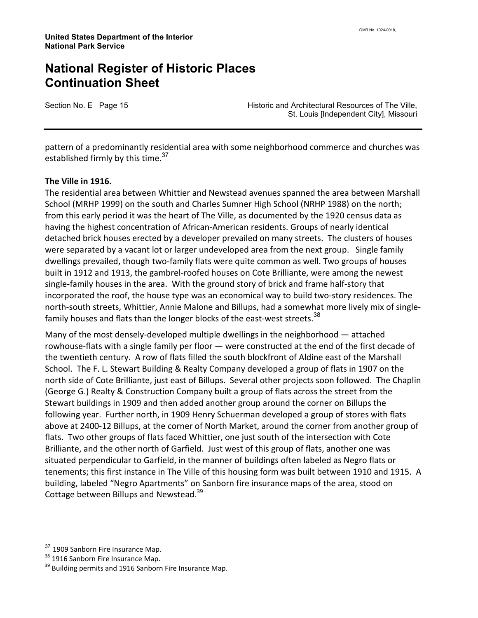Section No. E Page 15 **Historic and Architectural Resources of The Ville,** St. Louis [Independent City], Missouri

pattern of a predominantly residential area with some neighborhood commerce and churches was established firmly by this time. $^{37}$ 

#### The Ville in 1916.

The residential area between Whittier and Newstead avenues spanned the area between Marshall School (MRHP 1999) on the south and Charles Sumner High School (NRHP 1988) on the north; from this early period it was the heart of The Ville, as documented by the 1920 census data as having the highest concentration of African-American residents. Groups of nearly identical detached brick houses erected by a developer prevailed on many streets. The clusters of houses were separated by a vacant lot or larger undeveloped area from the next group. Single family dwellings prevailed, though two-family flats were quite common as well. Two groups of houses built in 1912 and 1913, the gambrel-roofed houses on Cote Brilliante, were among the newest single-family houses in the area. With the ground story of brick and frame half-story that incorporated the roof, the house type was an economical way to build two-story residences. The north-south streets, Whittier, Annie Malone and Billups, had a somewhat more lively mix of singlefamily houses and flats than the longer blocks of the east-west streets.<sup>38</sup>

Many of the most densely-developed multiple dwellings in the neighborhood — attached rowhouse-flats with a single family per floor — were constructed at the end of the first decade of the twentieth century. A row of flats filled the south blockfront of Aldine east of the Marshall School. The F. L. Stewart Building & Realty Company developed a group of flats in 1907 on the north side of Cote Brilliante, just east of Billups. Several other projects soon followed. The Chaplin (George G.) Realty & Construction Company built a group of flats across the street from the Stewart buildings in 1909 and then added another group around the corner on Billups the following year. Further north, in 1909 Henry Schuerman developed a group of stores with flats above at 2400-12 Billups, at the corner of North Market, around the corner from another group of flats. Two other groups of flats faced Whittier, one just south of the intersection with Cote Brilliante, and the other north of Garfield. Just west of this group of flats, another one was situated perpendicular to Garfield, in the manner of buildings often labeled as Negro flats or tenements; this first instance in The Ville of this housing form was built between 1910 and 1915. A building, labeled "Negro Apartments" on Sanborn fire insurance maps of the area, stood on Cottage between Billups and Newstead.<sup>39</sup>

<sup>&</sup>lt;sup>37</sup> 1909 Sanborn Fire Insurance Map.

<sup>&</sup>lt;sup>38</sup> 1916 Sanborn Fire Insurance Map.

<sup>&</sup>lt;sup>39</sup> Building permits and 1916 Sanborn Fire Insurance Map.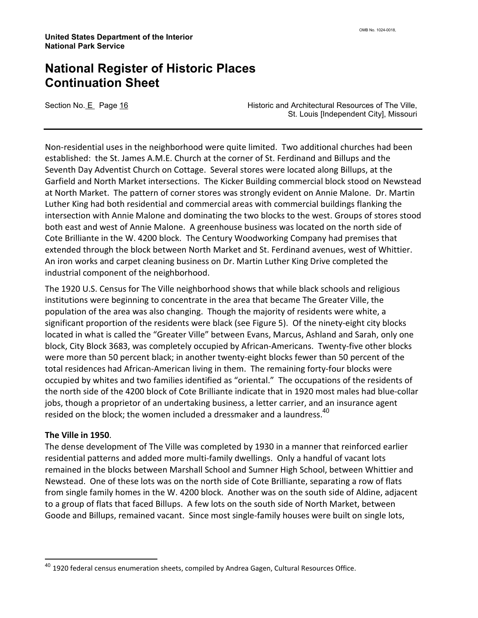Section No. E Page 16 **Historic and Architectural Resources of The Ville**, St. Louis [Independent City], Missouri

Non-residential uses in the neighborhood were quite limited. Two additional churches had been established: the St. James A.M.E. Church at the corner of St. Ferdinand and Billups and the Seventh Day Adventist Church on Cottage. Several stores were located along Billups, at the Garfield and North Market intersections. The Kicker Building commercial block stood on Newstead at North Market. The pattern of corner stores was strongly evident on Annie Malone. Dr. Martin Luther King had both residential and commercial areas with commercial buildings flanking the intersection with Annie Malone and dominating the two blocks to the west. Groups of stores stood both east and west of Annie Malone. A greenhouse business was located on the north side of Cote Brilliante in the W. 4200 block. The Century Woodworking Company had premises that extended through the block between North Market and St. Ferdinand avenues, west of Whittier. An iron works and carpet cleaning business on Dr. Martin Luther King Drive completed the industrial component of the neighborhood.

The 1920 U.S. Census for The Ville neighborhood shows that while black schools and religious institutions were beginning to concentrate in the area that became The Greater Ville, the population of the area was also changing. Though the majority of residents were white, a significant proportion of the residents were black (see Figure 5). Of the ninety-eight city blocks located in what is called the "Greater Ville" between Evans, Marcus, Ashland and Sarah, only one block, City Block 3683, was completely occupied by African-Americans. Twenty-five other blocks were more than 50 percent black; in another twenty-eight blocks fewer than 50 percent of the total residences had African-American living in them. The remaining forty-four blocks were occupied by whites and two families identified as "oriental." The occupations of the residents of the north side of the 4200 block of Cote Brilliante indicate that in 1920 most males had blue-collar jobs, though a proprietor of an undertaking business, a letter carrier, and an insurance agent resided on the block; the women included a dressmaker and a laundress. $^{40}$ 

#### The Ville in 1950.

l

The dense development of The Ville was completed by 1930 in a manner that reinforced earlier residential patterns and added more multi-family dwellings. Only a handful of vacant lots remained in the blocks between Marshall School and Sumner High School, between Whittier and Newstead. One of these lots was on the north side of Cote Brilliante, separating a row of flats from single family homes in the W. 4200 block. Another was on the south side of Aldine, adjacent to a group of flats that faced Billups. A few lots on the south side of North Market, between Goode and Billups, remained vacant. Since most single-family houses were built on single lots,

 $40$  1920 federal census enumeration sheets, compiled by Andrea Gagen, Cultural Resources Office.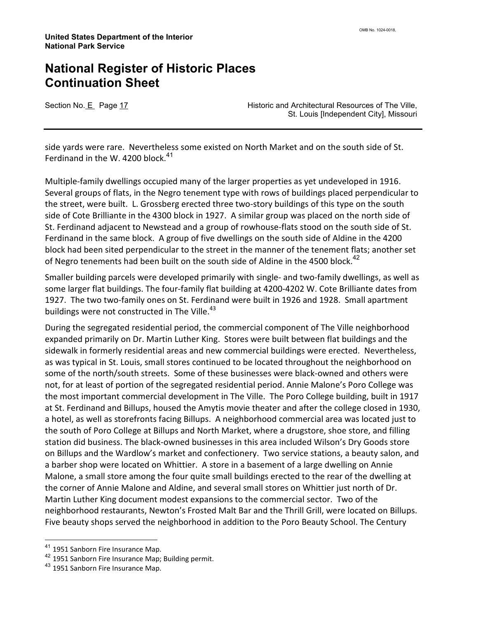Section No. E Page 17 **Historic and Architectural Resources of The Ville,** St. Louis [Independent City], Missouri

side yards were rare. Nevertheless some existed on North Market and on the south side of St. Ferdinand in the W. 4200 block. $^{41}$ 

Multiple-family dwellings occupied many of the larger properties as yet undeveloped in 1916. Several groups of flats, in the Negro tenement type with rows of buildings placed perpendicular to the street, were built. L. Grossberg erected three two-story buildings of this type on the south side of Cote Brilliante in the 4300 block in 1927. A similar group was placed on the north side of St. Ferdinand adjacent to Newstead and a group of rowhouse-flats stood on the south side of St. Ferdinand in the same block. A group of five dwellings on the south side of Aldine in the 4200 block had been sited perpendicular to the street in the manner of the tenement flats; another set of Negro tenements had been built on the south side of Aldine in the 4500 block.<sup>42</sup>

Smaller building parcels were developed primarily with single- and two-family dwellings, as well as some larger flat buildings. The four-family flat building at 4200-4202 W. Cote Brilliante dates from 1927. The two two-family ones on St. Ferdinand were built in 1926 and 1928. Small apartment buildings were not constructed in The Ville.<sup>43</sup>

During the segregated residential period, the commercial component of The Ville neighborhood expanded primarily on Dr. Martin Luther King. Stores were built between flat buildings and the sidewalk in formerly residential areas and new commercial buildings were erected. Nevertheless, as was typical in St. Louis, small stores continued to be located throughout the neighborhood on some of the north/south streets. Some of these businesses were black-owned and others were not, for at least of portion of the segregated residential period. Annie Malone's Poro College was the most important commercial development in The Ville. The Poro College building, built in 1917 at St. Ferdinand and Billups, housed the Amytis movie theater and after the college closed in 1930, a hotel, as well as storefronts facing Billups. A neighborhood commercial area was located just to the south of Poro College at Billups and North Market, where a drugstore, shoe store, and filling station did business. The black-owned businesses in this area included Wilson's Dry Goods store on Billups and the Wardlow's market and confectionery. Two service stations, a beauty salon, and a barber shop were located on Whittier. A store in a basement of a large dwelling on Annie Malone, a small store among the four quite small buildings erected to the rear of the dwelling at the corner of Annie Malone and Aldine, and several small stores on Whittier just north of Dr. Martin Luther King document modest expansions to the commercial sector. Two of the neighborhood restaurants, Newton's Frosted Malt Bar and the Thrill Grill, were located on Billups. Five beauty shops served the neighborhood in addition to the Poro Beauty School. The Century

<sup>41</sup> 1951 Sanborn Fire Insurance Map.

<sup>&</sup>lt;sup>42</sup> 1951 Sanborn Fire Insurance Map; Building permit.

<sup>&</sup>lt;sup>43</sup> 1951 Sanborn Fire Insurance Map.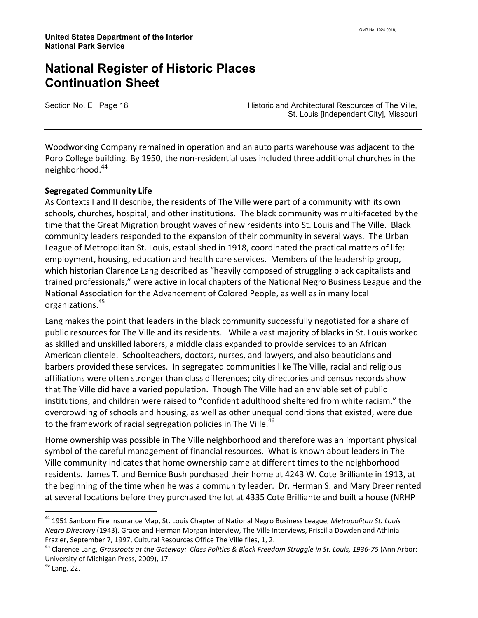Section No. E Page 18 **Historic and Architectural Resources of The Ville**, St. Louis [Independent City], Missouri

Woodworking Company remained in operation and an auto parts warehouse was adjacent to the Poro College building. By 1950, the non-residential uses included three additional churches in the neighborhood.<sup>44</sup>

#### Segregated Community Life

As Contexts I and II describe, the residents of The Ville were part of a community with its own schools, churches, hospital, and other institutions. The black community was multi-faceted by the time that the Great Migration brought waves of new residents into St. Louis and The Ville. Black community leaders responded to the expansion of their community in several ways. The Urban League of Metropolitan St. Louis, established in 1918, coordinated the practical matters of life: employment, housing, education and health care services. Members of the leadership group, which historian Clarence Lang described as "heavily composed of struggling black capitalists and trained professionals," were active in local chapters of the National Negro Business League and the National Association for the Advancement of Colored People, as well as in many local organizations.<sup>45</sup>

Lang makes the point that leaders in the black community successfully negotiated for a share of public resources for The Ville and its residents. While a vast majority of blacks in St. Louis worked as skilled and unskilled laborers, a middle class expanded to provide services to an African American clientele. Schoolteachers, doctors, nurses, and lawyers, and also beauticians and barbers provided these services. In segregated communities like The Ville, racial and religious affiliations were often stronger than class differences; city directories and census records show that The Ville did have a varied population. Though The Ville had an enviable set of public institutions, and children were raised to "confident adulthood sheltered from white racism," the overcrowding of schools and housing, as well as other unequal conditions that existed, were due to the framework of racial segregation policies in The Ville.<sup>46</sup>

Home ownership was possible in The Ville neighborhood and therefore was an important physical symbol of the careful management of financial resources. What is known about leaders in The Ville community indicates that home ownership came at different times to the neighborhood residents. James T. and Bernice Bush purchased their home at 4243 W. Cote Brilliante in 1913, at the beginning of the time when he was a community leader. Dr. Herman S. and Mary Dreer rented at several locations before they purchased the lot at 4335 Cote Brilliante and built a house (NRHP

<sup>&</sup>lt;sup>44</sup> 1951 Sanborn Fire Insurance Map, St. Louis Chapter of National Negro Business League, Metropolitan St. Louis Negro Directory (1943). Grace and Herman Morgan interview, The Ville Interviews, Priscilla Dowden and Athinia Frazier, September 7, 1997, Cultural Resources Office The Ville files, 1, 2.

<sup>&</sup>lt;sup>45</sup> Clarence Lang, *Grassroots at the Gateway: Class Politics & Black Freedom Struggle in St. Louis, 1936-75* (Ann Arbor: University of Michigan Press, 2009), 17.

<sup>46</sup> Lang, 22.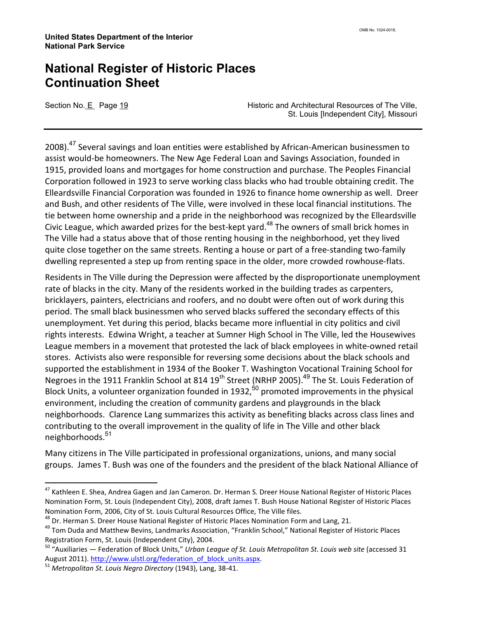Section No. E Page 19 **Historic and Architectural Resources of The Ville,** St. Louis [Independent City], Missouri

2008).<sup>47</sup> Several savings and loan entities were established by African-American businessmen to assist would-be homeowners. The New Age Federal Loan and Savings Association, founded in 1915, provided loans and mortgages for home construction and purchase. The Peoples Financial Corporation followed in 1923 to serve working class blacks who had trouble obtaining credit. The Elleardsville Financial Corporation was founded in 1926 to finance home ownership as well. Dreer and Bush, and other residents of The Ville, were involved in these local financial institutions. The tie between home ownership and a pride in the neighborhood was recognized by the Elleardsville Civic League, which awarded prizes for the best-kept yard.<sup>48</sup> The owners of small brick homes in The Ville had a status above that of those renting housing in the neighborhood, yet they lived quite close together on the same streets. Renting a house or part of a free-standing two-family dwelling represented a step up from renting space in the older, more crowded rowhouse-flats.

Residents in The Ville during the Depression were affected by the disproportionate unemployment rate of blacks in the city. Many of the residents worked in the building trades as carpenters, bricklayers, painters, electricians and roofers, and no doubt were often out of work during this period. The small black businessmen who served blacks suffered the secondary effects of this unemployment. Yet during this period, blacks became more influential in city politics and civil rights interests. Edwina Wright, a teacher at Sumner High School in The Ville, led the Housewives League members in a movement that protested the lack of black employees in white-owned retail stores. Activists also were responsible for reversing some decisions about the black schools and supported the establishment in 1934 of the Booker T. Washington Vocational Training School for Negroes in the 1911 Franklin School at 814 19<sup>th</sup> Street (NRHP 2005).<sup>49</sup> The St. Louis Federation of Block Units, a volunteer organization founded in 1932,<sup>50</sup> promoted improvements in the physical environment, including the creation of community gardens and playgrounds in the black neighborhoods. Clarence Lang summarizes this activity as benefiting blacks across class lines and contributing to the overall improvement in the quality of life in The Ville and other black neighborhoods.<sup>51</sup>

Many citizens in The Ville participated in professional organizations, unions, and many social groups. James T. Bush was one of the founders and the president of the black National Alliance of

<sup>&</sup>lt;sup>47</sup> Kathleen E. Shea, Andrea Gagen and Jan Cameron. Dr. Herman S. Dreer House National Register of Historic Places Nomination Form, St. Louis (Independent City), 2008, draft James T. Bush House National Register of Historic Places Nomination Form, 2006, City of St. Louis Cultural Resources Office, The Ville files.

<sup>&</sup>lt;sup>48</sup> Dr. Herman S. Dreer House National Register of Historic Places Nomination Form and Lang, 21.

<sup>&</sup>lt;sup>49</sup> Tom Duda and Matthew Bevins, Landmarks Association, "Franklin School," National Register of Historic Places Registration Form, St. Louis (Independent City), 2004.

 $50$  "Auxiliaries — Federation of Block Units," Urban League of St. Louis Metropolitan St. Louis web site (accessed 31 August 2011). http://www.ulstl.org/federation\_of\_block\_units.aspx.

<sup>&</sup>lt;sup>51</sup> Metropolitan St. Louis Negro Directory (1943), Lang, 38-41.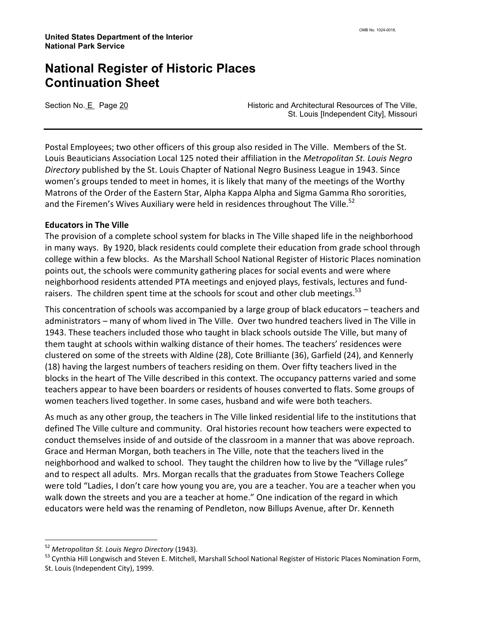Section No. E Page 20 **Historic and Architectural Resources of The Ville**, St. Louis [Independent City], Missouri

Postal Employees; two other officers of this group also resided in The Ville. Members of the St. Louis Beauticians Association Local 125 noted their affiliation in the Metropolitan St. Louis Negro Directory published by the St. Louis Chapter of National Negro Business League in 1943. Since women's groups tended to meet in homes, it is likely that many of the meetings of the Worthy Matrons of the Order of the Eastern Star, Alpha Kappa Alpha and Sigma Gamma Rho sororities, and the Firemen's Wives Auxiliary were held in residences throughout The Ville.<sup>52</sup>

#### Educators in The Ville

The provision of a complete school system for blacks in The Ville shaped life in the neighborhood in many ways. By 1920, black residents could complete their education from grade school through college within a few blocks. As the Marshall School National Register of Historic Places nomination points out, the schools were community gathering places for social events and were where neighborhood residents attended PTA meetings and enjoyed plays, festivals, lectures and fundraisers. The children spent time at the schools for scout and other club meetings.<sup>53</sup>

This concentration of schools was accompanied by a large group of black educators – teachers and administrators – many of whom lived in The Ville. Over two hundred teachers lived in The Ville in 1943. These teachers included those who taught in black schools outside The Ville, but many of them taught at schools within walking distance of their homes. The teachers' residences were clustered on some of the streets with Aldine (28), Cote Brilliante (36), Garfield (24), and Kennerly (18) having the largest numbers of teachers residing on them. Over fifty teachers lived in the blocks in the heart of The Ville described in this context. The occupancy patterns varied and some teachers appear to have been boarders or residents of houses converted to flats. Some groups of women teachers lived together. In some cases, husband and wife were both teachers.

As much as any other group, the teachers in The Ville linked residential life to the institutions that defined The Ville culture and community. Oral histories recount how teachers were expected to conduct themselves inside of and outside of the classroom in a manner that was above reproach. Grace and Herman Morgan, both teachers in The Ville, note that the teachers lived in the neighborhood and walked to school. They taught the children how to live by the "Village rules" and to respect all adults. Mrs. Morgan recalls that the graduates from Stowe Teachers College were told "Ladies, I don't care how young you are, you are a teacher. You are a teacher when you walk down the streets and you are a teacher at home." One indication of the regard in which educators were held was the renaming of Pendleton, now Billups Avenue, after Dr. Kenneth

<sup>&</sup>lt;sup>52</sup> Metropolitan St. Louis Negro Directory (1943).

<sup>53</sup> Cynthia Hill Longwisch and Steven E. Mitchell, Marshall School National Register of Historic Places Nomination Form, St. Louis (Independent City), 1999.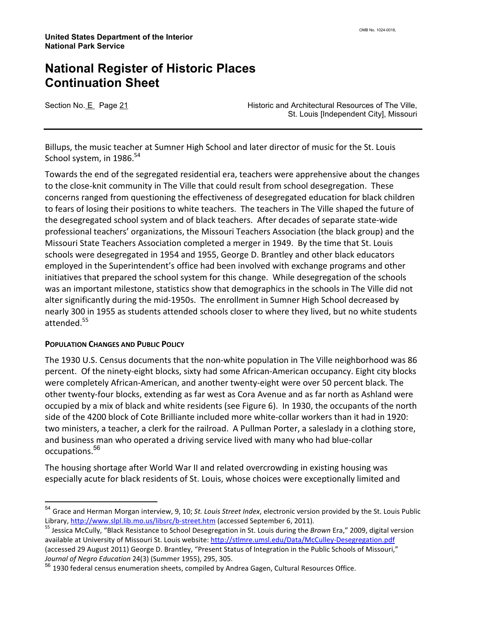Section No. E Page 21 **Historic and Architectural Resources of The Ville**, St. Louis [Independent City], Missouri

Billups, the music teacher at Sumner High School and later director of music for the St. Louis School system, in 1986. $54$ 

Towards the end of the segregated residential era, teachers were apprehensive about the changes to the close-knit community in The Ville that could result from school desegregation. These concerns ranged from questioning the effectiveness of desegregated education for black children to fears of losing their positions to white teachers. The teachers in The Ville shaped the future of the desegregated school system and of black teachers. After decades of separate state-wide professional teachers' organizations, the Missouri Teachers Association (the black group) and the Missouri State Teachers Association completed a merger in 1949. By the time that St. Louis schools were desegregated in 1954 and 1955, George D. Brantley and other black educators employed in the Superintendent's office had been involved with exchange programs and other initiatives that prepared the school system for this change. While desegregation of the schools was an important milestone, statistics show that demographics in the schools in The Ville did not alter significantly during the mid-1950s. The enrollment in Sumner High School decreased by nearly 300 in 1955 as students attended schools closer to where they lived, but no white students attended.<sup>55</sup>

#### POPULATION CHANGES AND PUBLIC POLICY

l

The 1930 U.S. Census documents that the non-white population in The Ville neighborhood was 86 percent. Of the ninety-eight blocks, sixty had some African-American occupancy. Eight city blocks were completely African-American, and another twenty-eight were over 50 percent black. The other twenty-four blocks, extending as far west as Cora Avenue and as far north as Ashland were occupied by a mix of black and white residents (see Figure 6). In 1930, the occupants of the north side of the 4200 block of Cote Brilliante included more white-collar workers than it had in 1920: two ministers, a teacher, a clerk for the railroad. A Pullman Porter, a saleslady in a clothing store, and business man who operated a driving service lived with many who had blue-collar occupations. 56

The housing shortage after World War II and related overcrowding in existing housing was especially acute for black residents of St. Louis, whose choices were exceptionally limited and

<sup>&</sup>lt;sup>54</sup> Grace and Herman Morgan interview, 9, 10; St. Louis Street Index, electronic version provided by the St. Louis Public Library, http://www.slpl.lib.mo.us/libsrc/b-street.htm (accessed September 6, 2011).

<sup>&</sup>lt;sup>55</sup> Jessica McCully, "Black Resistance to School Desegregation in St. Louis during the Brown Era," 2009, digital version available at University of Missouri St. Louis website: http://stlmre.umsl.edu/Data/McCulley-Desegregation.pdf (accessed 29 August 2011) George D. Brantley, "Present Status of Integration in the Public Schools of Missouri," Journal of Negro Education 24(3) (Summer 1955), 295, 305.

<sup>&</sup>lt;sup>56</sup> 1930 federal census enumeration sheets, compiled by Andrea Gagen, Cultural Resources Office.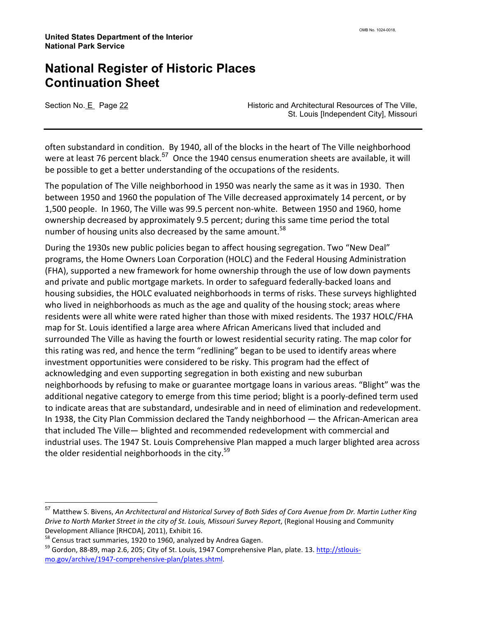Section No. E Page 22 **Historic and Architectural Resources of The Ville**, St. Louis [Independent City], Missouri

often substandard in condition. By 1940, all of the blocks in the heart of The Ville neighborhood were at least 76 percent black.<sup>57</sup> Once the 1940 census enumeration sheets are available, it will be possible to get a better understanding of the occupations of the residents.

The population of The Ville neighborhood in 1950 was nearly the same as it was in 1930. Then between 1950 and 1960 the population of The Ville decreased approximately 14 percent, or by 1,500 people. In 1960, The Ville was 99.5 percent non-white. Between 1950 and 1960, home ownership decreased by approximately 9.5 percent; during this same time period the total number of housing units also decreased by the same amount.<sup>58</sup>

During the 1930s new public policies began to affect housing segregation. Two "New Deal" programs, the Home Owners Loan Corporation (HOLC) and the Federal Housing Administration (FHA), supported a new framework for home ownership through the use of low down payments and private and public mortgage markets. In order to safeguard federally-backed loans and housing subsidies, the HOLC evaluated neighborhoods in terms of risks. These surveys highlighted who lived in neighborhoods as much as the age and quality of the housing stock; areas where residents were all white were rated higher than those with mixed residents. The 1937 HOLC/FHA map for St. Louis identified a large area where African Americans lived that included and surrounded The Ville as having the fourth or lowest residential security rating. The map color for this rating was red, and hence the term "redlining" began to be used to identify areas where investment opportunities were considered to be risky. This program had the effect of acknowledging and even supporting segregation in both existing and new suburban neighborhoods by refusing to make or guarantee mortgage loans in various areas. "Blight" was the additional negative category to emerge from this time period; blight is a poorly-defined term used to indicate areas that are substandard, undesirable and in need of elimination and redevelopment. In 1938, the City Plan Commission declared the Tandy neighborhood — the African-American area that included The Ville— blighted and recommended redevelopment with commercial and industrial uses. The 1947 St. Louis Comprehensive Plan mapped a much larger blighted area across the older residential neighborhoods in the city.<sup>59</sup>

 $\overline{a}$ 

<sup>&</sup>lt;sup>57</sup> Matthew S. Bivens, An Architectural and Historical Survey of Both Sides of Cora Avenue from Dr. Martin Luther King Drive to North Market Street in the city of St. Louis, Missouri Survey Report, (Regional Housing and Community Development Alliance [RHCDA], 2011), Exhibit 16.

<sup>&</sup>lt;sup>58</sup> Census tract summaries, 1920 to 1960, analyzed by Andrea Gagen.

<sup>&</sup>lt;sup>59</sup> Gordon, 88-89, map 2.6, 205; City of St. Louis, 1947 Comprehensive Plan, plate. 13. http://stlouismo.gov/archive/1947-comprehensive-plan/plates.shtml.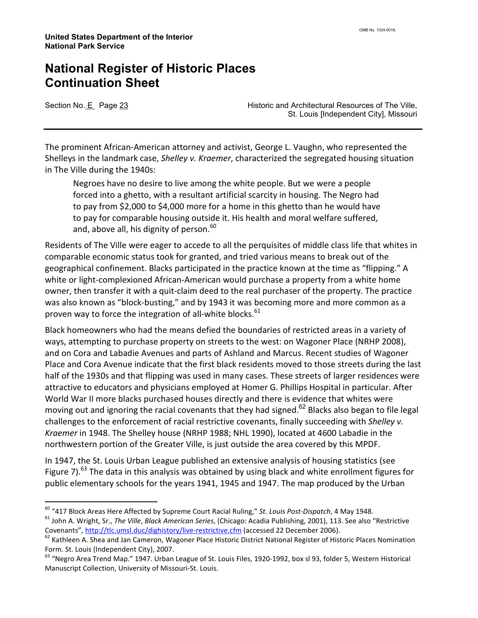l

Section No. E Page 23 **Historic and Architectural Resources of The Ville**, St. Louis [Independent City], Missouri

The prominent African-American attorney and activist, George L. Vaughn, who represented the Shelleys in the landmark case, Shelley v. Kraemer, characterized the segregated housing situation in The Ville during the 1940s:

Negroes have no desire to live among the white people. But we were a people forced into a ghetto, with a resultant artificial scarcity in housing. The Negro had to pay from \$2,000 to \$4,000 more for a home in this ghetto than he would have to pay for comparable housing outside it. His health and moral welfare suffered, and, above all, his dignity of person.<sup>60</sup>

Residents of The Ville were eager to accede to all the perquisites of middle class life that whites in comparable economic status took for granted, and tried various means to break out of the geographical confinement. Blacks participated in the practice known at the time as "flipping." A white or light-complexioned African-American would purchase a property from a white home owner, then transfer it with a quit-claim deed to the real purchaser of the property. The practice was also known as "block-busting," and by 1943 it was becoming more and more common as a proven way to force the integration of all-white blocks.  $61$ 

Black homeowners who had the means defied the boundaries of restricted areas in a variety of ways, attempting to purchase property on streets to the west: on Wagoner Place (NRHP 2008), and on Cora and Labadie Avenues and parts of Ashland and Marcus. Recent studies of Wagoner Place and Cora Avenue indicate that the first black residents moved to those streets during the last half of the 1930s and that flipping was used in many cases. These streets of larger residences were attractive to educators and physicians employed at Homer G. Phillips Hospital in particular. After World War II more blacks purchased houses directly and there is evidence that whites were moving out and ignoring the racial covenants that they had signed.<sup>62</sup> Blacks also began to file legal challenges to the enforcement of racial restrictive covenants, finally succeeding with Shelley v. Kraemer in 1948. The Shelley house (NRHP 1988; NHL 1990), located at 4600 Labadie in the northwestern portion of the Greater Ville, is just outside the area covered by this MPDF.

In 1947, the St. Louis Urban League published an extensive analysis of housing statistics (see Figure 7).<sup>63</sup> The data in this analysis was obtained by using black and white enrollment figures for public elementary schools for the years 1941, 1945 and 1947. The map produced by the Urban

 $60$  "417 Block Areas Here Affected by Supreme Court Racial Ruling," St. Louis Post-Dispatch, 4 May 1948.

<sup>&</sup>lt;sup>61</sup> John A. Wright, Sr., The Ville, Black American Series, (Chicago: Acadia Publishing, 2001), 113. See also "Restrictive Covenants", http://tlc.umsl.duc/dighistory/live-restrictive.cfm (accessed 22 December 2006).

<sup>&</sup>lt;sup>62</sup> Kathleen A. Shea and Jan Cameron, Wagoner Place Historic District National Register of Historic Places Nomination Form. St. Louis (Independent City), 2007.

 $63$  "Negro Area Trend Map." 1947. Urban League of St. Louis Files, 1920-1992, box sl 93, folder 5, Western Historical Manuscript Collection, University of Missouri-St. Louis.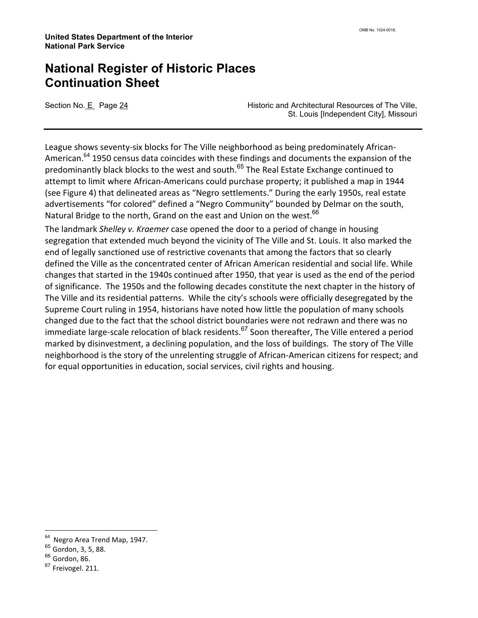Section No. E Page 24 **Historic and Architectural Resources of The Ville**, St. Louis [Independent City], Missouri

League shows seventy-six blocks for The Ville neighborhood as being predominately African-American.<sup>64</sup> 1950 census data coincides with these findings and documents the expansion of the predominantly black blocks to the west and south.<sup>65</sup> The Real Estate Exchange continued to attempt to limit where African-Americans could purchase property; it published a map in 1944 (see Figure 4) that delineated areas as "Negro settlements." During the early 1950s, real estate advertisements "for colored" defined a "Negro Community" bounded by Delmar on the south, Natural Bridge to the north, Grand on the east and Union on the west.<sup>66</sup>

The landmark Shelley v. Kraemer case opened the door to a period of change in housing segregation that extended much beyond the vicinity of The Ville and St. Louis. It also marked the end of legally sanctioned use of restrictive covenants that among the factors that so clearly defined the Ville as the concentrated center of African American residential and social life. While changes that started in the 1940s continued after 1950, that year is used as the end of the period of significance. The 1950s and the following decades constitute the next chapter in the history of The Ville and its residential patterns. While the city's schools were officially desegregated by the Supreme Court ruling in 1954, historians have noted how little the population of many schools changed due to the fact that the school district boundaries were not redrawn and there was no immediate large-scale relocation of black residents.<sup>67</sup> Soon thereafter, The Ville entered a period marked by disinvestment, a declining population, and the loss of buildings. The story of The Ville neighborhood is the story of the unrelenting struggle of African-American citizens for respect; and for equal opportunities in education, social services, civil rights and housing.

<sup>&</sup>lt;sup>64</sup> Negro Area Trend Map, 1947.

<sup>65</sup> Gordon, 3, 5, 88.

 $66$  Gordon, 86.

<sup>&</sup>lt;sup>67</sup> Freivogel. 211.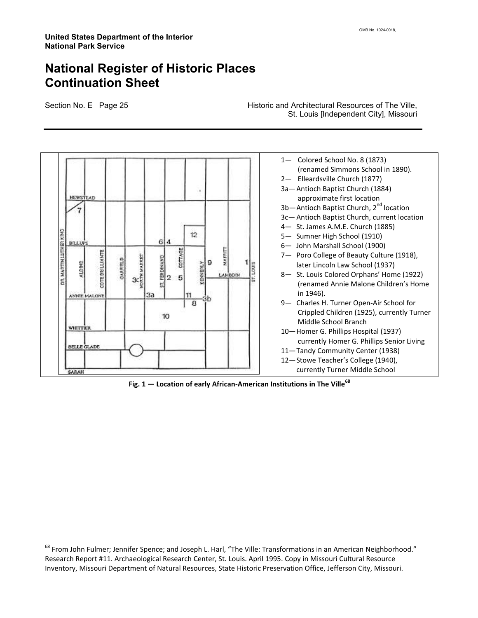l

Section No. E Page 25 **Historic and Architectural Resources of The Ville,** St. Louis [Independent City], Missouri



Fig.  $1$  — Location of early African-American Institutions in The Ville<sup>68</sup>

 $^{68}$  From John Fulmer; Jennifer Spence; and Joseph L. Harl, "The Ville: Transformations in an American Neighborhood." Research Report #11. Archaeological Research Center, St. Louis. April 1995. Copy in Missouri Cultural Resource Inventory, Missouri Department of Natural Resources, State Historic Preservation Office, Jefferson City, Missouri.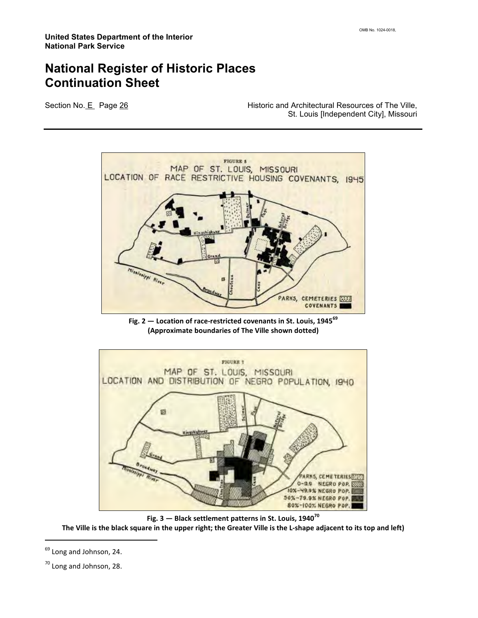Section No. E Page 26 **Historic and Architectural Resources of The Ville,** St. Louis [Independent City], Missouri



Fig. 2  $-$  Location of race-restricted covenants in St. Louis, 1945 $^{69}$ (Approximate boundaries of The Ville shown dotted)



Fig.  $3$  – Black settlement patterns in St. Louis, 1940<sup>70</sup> The Ville is the black square in the upper right; the Greater Ville is the L-shape adjacent to its top and left)

<sup>&</sup>lt;sup>69</sup> Long and Johnson, 24.

<sup>&</sup>lt;sup>70</sup> Long and Johnson, 28.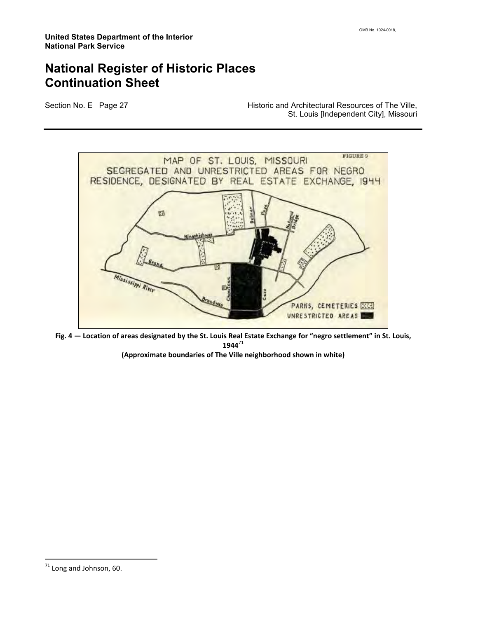Section No. E Page 27 **Historic and Architectural Resources of The Ville,** St. Louis [Independent City], Missouri



Fig. 4 — Location of areas designated by the St. Louis Real Estate Exchange for "negro settlement" in St. Louis,  $1944^{71}$ 

(Approximate boundaries of The Ville neighborhood shown in white)

 $71$  Long and Johnson, 60.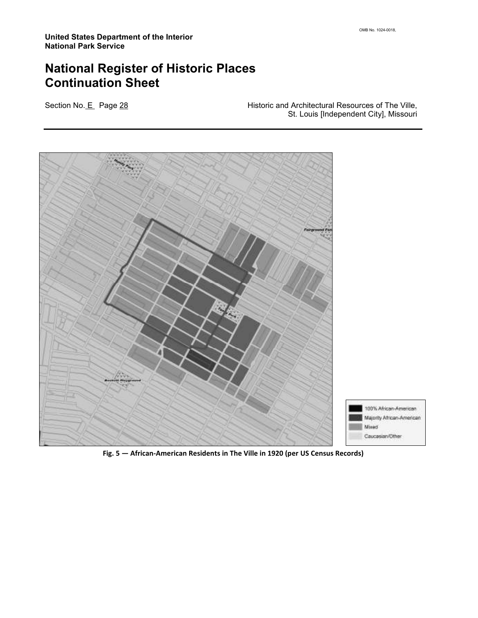Section No. E Page 28 **Historic and Architectural Resources of The Ville**, St. Louis [Independent City], Missouri



Fig. 5 — African-American Residents in The Ville in 1920 (per US Census Records)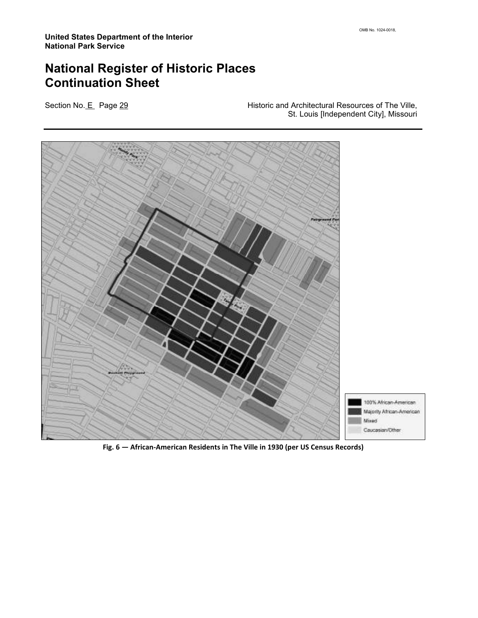Section No. E Page 29 **Historic and Architectural Resources of The Ville**, St. Louis [Independent City], Missouri



Fig. 6 — African-American Residents in The Ville in 1930 (per US Census Records)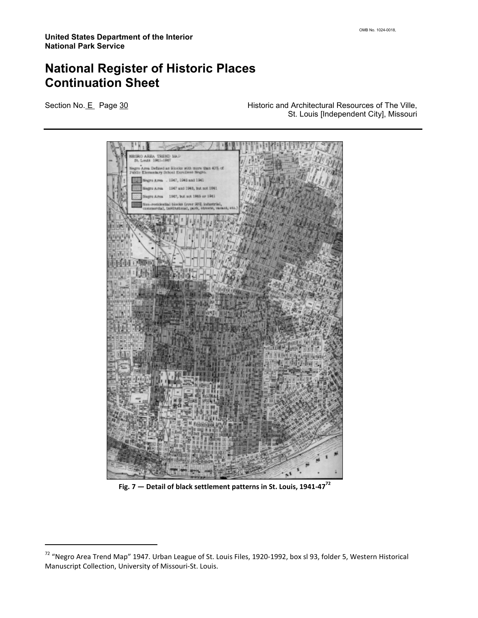l

Section No. E Page 30 **Historic and Architectural Resources of The Ville**, St. Louis [Independent City], Missouri

| NEGRO AREA TREND MAP                                                                                    |               |
|---------------------------------------------------------------------------------------------------------|---------------|
| Negro Ages Defined as Riccks with more than 40% of<br>Public Elementary School Enrollent Negro.         |               |
| Negro Area . 1947, 1945 and 1941                                                                        |               |
| 1947 and 1948, but not 1941.<br>Negro Area                                                              |               |
| 1947, but not 1985 or 1941<br>Sugra Area                                                                |               |
| Nun-residential blocks (sver 90% industrial,<br>commercial, institutional, park, streets, varant, etc.) |               |
|                                                                                                         |               |
|                                                                                                         |               |
|                                                                                                         |               |
|                                                                                                         |               |
|                                                                                                         |               |
| <b>CRIDGE</b>                                                                                           |               |
|                                                                                                         |               |
| <b>A</b> FIELDE VIA                                                                                     |               |
|                                                                                                         |               |
| п                                                                                                       |               |
|                                                                                                         |               |
|                                                                                                         |               |
|                                                                                                         |               |
|                                                                                                         | <b>SULLER</b> |
| 55347                                                                                                   | 豳             |
| <b>E 12 L</b>                                                                                           | œ             |
| tual<br>ti T<br>щ<br><b>NATION</b>                                                                      | ш<br>п        |
| $\sigma$ in<br><b>MARKET AL STRAIGHT</b><br><b>Marie Company</b>                                        | ×             |
| ■ 西 西瓜 4-1 前                                                                                            |               |
| BAR MBALANG                                                                                             |               |
| 美观测器                                                                                                    |               |
|                                                                                                         |               |
| araman<br>1953 - Partis<br>1953 - Partis                                                                |               |
| 859                                                                                                     |               |
| alat al superiori<br>3 september 2011                                                                   |               |
| 日语电视日语                                                                                                  |               |
|                                                                                                         |               |

Fig. 7  $-$  Detail of black settlement patterns in St. Louis, 1941-47 $^{72}$ 

<sup>72</sup> "Negro Area Trend Map" 1947. Urban League of St. Louis Files, 1920-1992, box sl 93, folder 5, Western Historical Manuscript Collection, University of Missouri-St. Louis.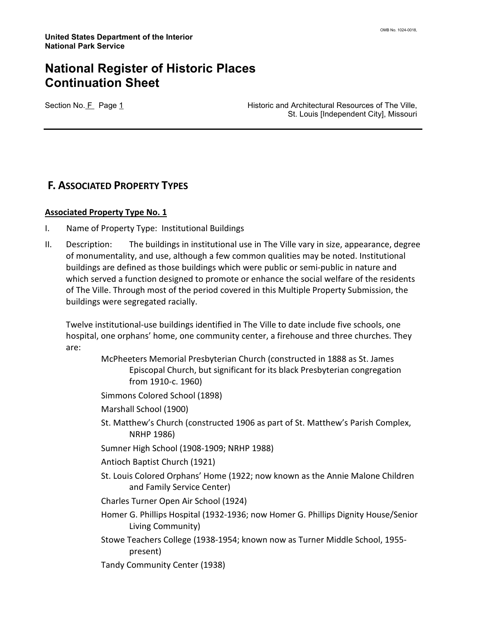Section No. F Page 1 **Historic and Architectural Resources of The Ville,** St. Louis [Independent City], Missouri

#### F. ASSOCIATED PROPERTY TYPES

#### **Associated Property Type No. 1**

- I. Name of Property Type: Institutional Buildings
- II. Description: The buildings in institutional use in The Ville vary in size, appearance, degree of monumentality, and use, although a few common qualities may be noted. Institutional buildings are defined as those buildings which were public or semi-public in nature and which served a function designed to promote or enhance the social welfare of the residents of The Ville. Through most of the period covered in this Multiple Property Submission, the buildings were segregated racially.

Twelve institutional-use buildings identified in The Ville to date include five schools, one hospital, one orphans' home, one community center, a firehouse and three churches. They are:

- McPheeters Memorial Presbyterian Church (constructed in 1888 as St. James Episcopal Church, but significant for its black Presbyterian congregation from 1910-c. 1960)
- Simmons Colored School (1898)
- Marshall School (1900)
- St. Matthew's Church (constructed 1906 as part of St. Matthew's Parish Complex, NRHP 1986)
- Sumner High School (1908-1909; NRHP 1988)
- Antioch Baptist Church (1921)
- St. Louis Colored Orphans' Home (1922; now known as the Annie Malone Children and Family Service Center)
- Charles Turner Open Air School (1924)
- Homer G. Phillips Hospital (1932-1936; now Homer G. Phillips Dignity House/Senior Living Community)
- Stowe Teachers College (1938-1954; known now as Turner Middle School, 1955 present)
- Tandy Community Center (1938)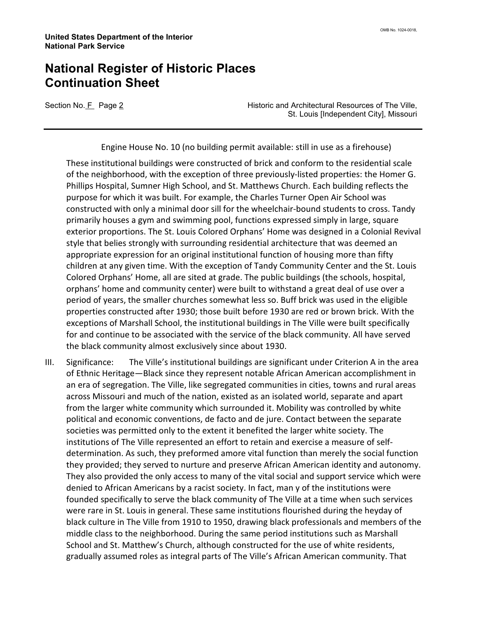Section No. F Page 2 **Historic and Architectural Resources of The Ville**, St. Louis [Independent City], Missouri

Engine House No. 10 (no building permit available: still in use as a firehouse)

These institutional buildings were constructed of brick and conform to the residential scale of the neighborhood, with the exception of three previously-listed properties: the Homer G. Phillips Hospital, Sumner High School, and St. Matthews Church. Each building reflects the purpose for which it was built. For example, the Charles Turner Open Air School was constructed with only a minimal door sill for the wheelchair-bound students to cross. Tandy primarily houses a gym and swimming pool, functions expressed simply in large, square exterior proportions. The St. Louis Colored Orphans' Home was designed in a Colonial Revival style that belies strongly with surrounding residential architecture that was deemed an appropriate expression for an original institutional function of housing more than fifty children at any given time. With the exception of Tandy Community Center and the St. Louis Colored Orphans' Home, all are sited at grade. The public buildings (the schools, hospital, orphans' home and community center) were built to withstand a great deal of use over a period of years, the smaller churches somewhat less so. Buff brick was used in the eligible properties constructed after 1930; those built before 1930 are red or brown brick. With the exceptions of Marshall School, the institutional buildings in The Ville were built specifically for and continue to be associated with the service of the black community. All have served the black community almost exclusively since about 1930.

III. Significance: The Ville's institutional buildings are significant under Criterion A in the area of Ethnic Heritage—Black since they represent notable African American accomplishment in an era of segregation. The Ville, like segregated communities in cities, towns and rural areas across Missouri and much of the nation, existed as an isolated world, separate and apart from the larger white community which surrounded it. Mobility was controlled by white political and economic conventions, de facto and de jure. Contact between the separate societies was permitted only to the extent it benefited the larger white society. The institutions of The Ville represented an effort to retain and exercise a measure of selfdetermination. As such, they preformed amore vital function than merely the social function they provided; they served to nurture and preserve African American identity and autonomy. They also provided the only access to many of the vital social and support service which were denied to African Americans by a racist society. In fact, man y of the institutions were founded specifically to serve the black community of The Ville at a time when such services were rare in St. Louis in general. These same institutions flourished during the heyday of black culture in The Ville from 1910 to 1950, drawing black professionals and members of the middle class to the neighborhood. During the same period institutions such as Marshall School and St. Matthew's Church, although constructed for the use of white residents, gradually assumed roles as integral parts of The Ville's African American community. That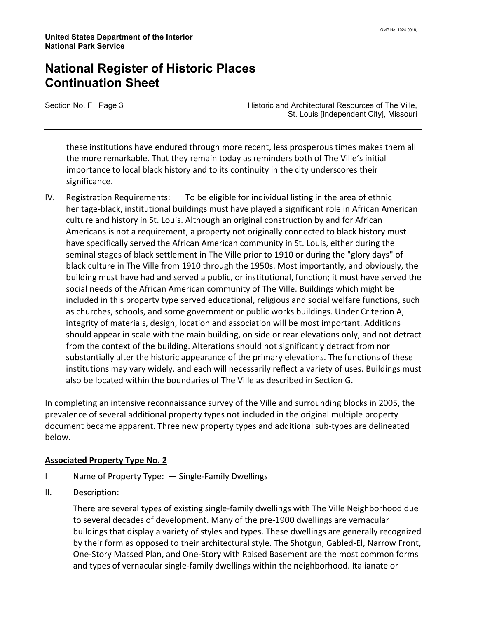Section No. F Page 3 **Historic and Architectural Resources of The Ville**, St. Louis [Independent City], Missouri

these institutions have endured through more recent, less prosperous times makes them all the more remarkable. That they remain today as reminders both of The Ville's initial importance to local black history and to its continuity in the city underscores their significance.

IV. Registration Requirements: To be eligible for individual listing in the area of ethnic heritage-black, institutional buildings must have played a significant role in African American culture and history in St. Louis. Although an original construction by and for African Americans is not a requirement, a property not originally connected to black history must have specifically served the African American community in St. Louis, either during the seminal stages of black settlement in The Ville prior to 1910 or during the "glory days" of black culture in The Ville from 1910 through the 1950s. Most importantly, and obviously, the building must have had and served a public, or institutional, function; it must have served the social needs of the African American community of The Ville. Buildings which might be included in this property type served educational, religious and social welfare functions, such as churches, schools, and some government or public works buildings. Under Criterion A, integrity of materials, design, location and association will be most important. Additions should appear in scale with the main building, on side or rear elevations only, and not detract from the context of the building. Alterations should not significantly detract from nor substantially alter the historic appearance of the primary elevations. The functions of these institutions may vary widely, and each will necessarily reflect a variety of uses. Buildings must also be located within the boundaries of The Ville as described in Section G.

In completing an intensive reconnaissance survey of the Ville and surrounding blocks in 2005, the prevalence of several additional property types not included in the original multiple property document became apparent. Three new property types and additional sub-types are delineated below.

#### Associated Property Type No. 2

- I Name of Property Type: Single-Family Dwellings
- II. Description:

There are several types of existing single-family dwellings with The Ville Neighborhood due to several decades of development. Many of the pre-1900 dwellings are vernacular buildings that display a variety of styles and types. These dwellings are generally recognized by their form as opposed to their architectural style. The Shotgun, Gabled-El, Narrow Front, One-Story Massed Plan, and One-Story with Raised Basement are the most common forms and types of vernacular single-family dwellings within the neighborhood. Italianate or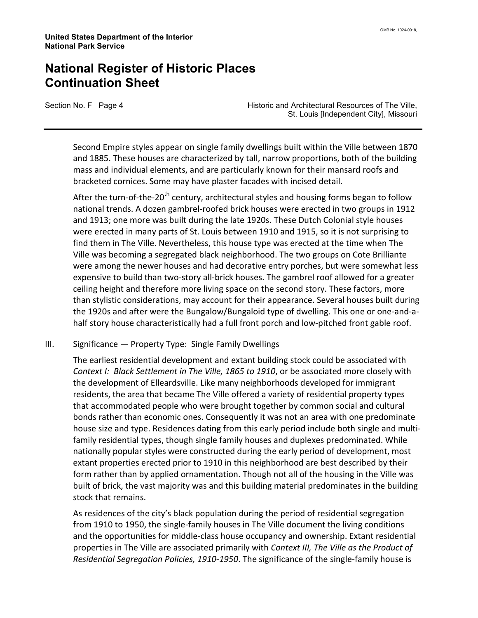Section No. F Page 4 **Historic and Architectural Resources of The Ville**, St. Louis [Independent City], Missouri

Second Empire styles appear on single family dwellings built within the Ville between 1870 and 1885. These houses are characterized by tall, narrow proportions, both of the building mass and individual elements, and are particularly known for their mansard roofs and bracketed cornices. Some may have plaster facades with incised detail.

After the turn-of-the-20<sup>th</sup> century, architectural styles and housing forms began to follow national trends. A dozen gambrel-roofed brick houses were erected in two groups in 1912 and 1913; one more was built during the late 1920s. These Dutch Colonial style houses were erected in many parts of St. Louis between 1910 and 1915, so it is not surprising to find them in The Ville. Nevertheless, this house type was erected at the time when The Ville was becoming a segregated black neighborhood. The two groups on Cote Brilliante were among the newer houses and had decorative entry porches, but were somewhat less expensive to build than two-story all-brick houses. The gambrel roof allowed for a greater ceiling height and therefore more living space on the second story. These factors, more than stylistic considerations, may account for their appearance. Several houses built during the 1920s and after were the Bungalow/Bungaloid type of dwelling. This one or one-and-ahalf story house characteristically had a full front porch and low-pitched front gable roof.

III. Significance — Property Type: Single Family Dwellings

The earliest residential development and extant building stock could be associated with Context I: Black Settlement in The Ville, 1865 to 1910, or be associated more closely with the development of Elleardsville. Like many neighborhoods developed for immigrant residents, the area that became The Ville offered a variety of residential property types that accommodated people who were brought together by common social and cultural bonds rather than economic ones. Consequently it was not an area with one predominate house size and type. Residences dating from this early period include both single and multifamily residential types, though single family houses and duplexes predominated. While nationally popular styles were constructed during the early period of development, most extant properties erected prior to 1910 in this neighborhood are best described by their form rather than by applied ornamentation. Though not all of the housing in the Ville was built of brick, the vast majority was and this building material predominates in the building stock that remains.

As residences of the city's black population during the period of residential segregation from 1910 to 1950, the single-family houses in The Ville document the living conditions and the opportunities for middle-class house occupancy and ownership. Extant residential properties in The Ville are associated primarily with Context III, The Ville as the Product of Residential Segregation Policies, 1910-1950. The significance of the single-family house is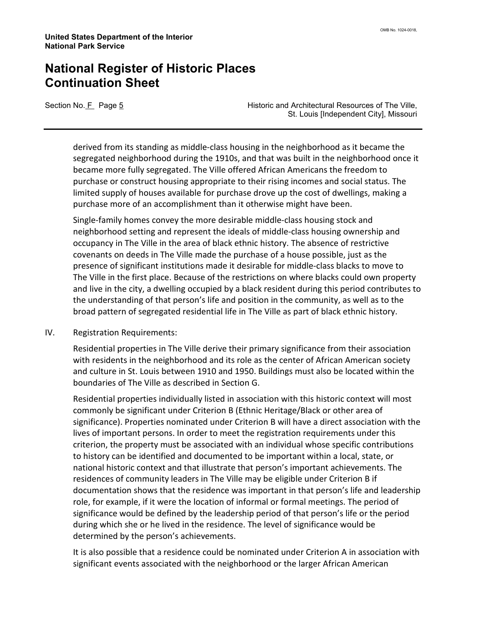Section No. F Page 5 **Historic and Architectural Resources of The Ville**, St. Louis [Independent City], Missouri

derived from its standing as middle-class housing in the neighborhood as it became the segregated neighborhood during the 1910s, and that was built in the neighborhood once it became more fully segregated. The Ville offered African Americans the freedom to purchase or construct housing appropriate to their rising incomes and social status. The limited supply of houses available for purchase drove up the cost of dwellings, making a purchase more of an accomplishment than it otherwise might have been.

Single-family homes convey the more desirable middle-class housing stock and neighborhood setting and represent the ideals of middle-class housing ownership and occupancy in The Ville in the area of black ethnic history. The absence of restrictive covenants on deeds in The Ville made the purchase of a house possible, just as the presence of significant institutions made it desirable for middle-class blacks to move to The Ville in the first place. Because of the restrictions on where blacks could own property and live in the city, a dwelling occupied by a black resident during this period contributes to the understanding of that person's life and position in the community, as well as to the broad pattern of segregated residential life in The Ville as part of black ethnic history.

IV. Registration Requirements:

Residential properties in The Ville derive their primary significance from their association with residents in the neighborhood and its role as the center of African American society and culture in St. Louis between 1910 and 1950. Buildings must also be located within the boundaries of The Ville as described in Section G.

Residential properties individually listed in association with this historic context will most commonly be significant under Criterion B (Ethnic Heritage/Black or other area of significance). Properties nominated under Criterion B will have a direct association with the lives of important persons. In order to meet the registration requirements under this criterion, the property must be associated with an individual whose specific contributions to history can be identified and documented to be important within a local, state, or national historic context and that illustrate that person's important achievements. The residences of community leaders in The Ville may be eligible under Criterion B if documentation shows that the residence was important in that person's life and leadership role, for example, if it were the location of informal or formal meetings. The period of significance would be defined by the leadership period of that person's life or the period during which she or he lived in the residence. The level of significance would be determined by the person's achievements.

It is also possible that a residence could be nominated under Criterion A in association with significant events associated with the neighborhood or the larger African American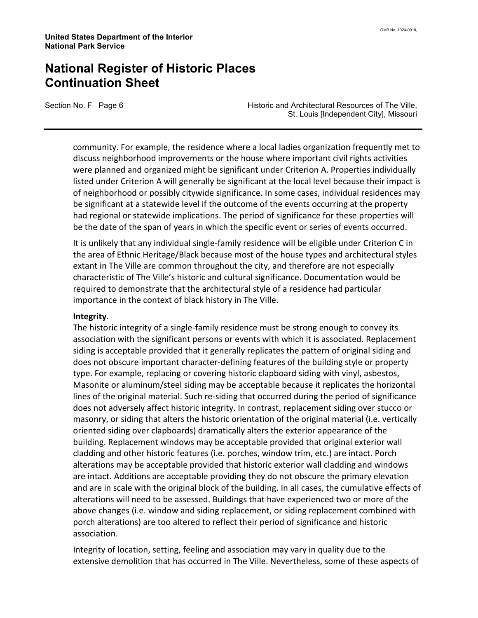Section No. F Page 6 **Historic and Architectural Resources of The Ville**, St. Louis [Independent City], Missouri

community. For example, the residence where a local ladies organization frequently met to discuss neighborhood improvements or the house where important civil rights activities were planned and organized might be significant under Criterion A. Properties individually listed under Criterion A will generally be significant at the local level because their impact is of neighborhood or possibly citywide significance. In some cases, individual residences may be significant at a statewide level if the outcome of the events occurring at the property had regional or statewide implications. The period of significance for these properties will be the date of the span of years in which the specific event or series of events occurred.

It is unlikely that any individual single-family residence will be eligible under Criterion C in the area of Ethnic Heritage/Black because most of the house types and architectural styles extant in The Ville are common throughout the city, and therefore are not especially characteristic of The Ville's historic and cultural significance. Documentation would be required to demonstrate that the architectural style of a residence had particular importance in the context of black history in The Ville.

#### Integrity.

The historic integrity of a single-family residence must be strong enough to convey its association with the significant persons or events with which it is associated. Replacement siding is acceptable provided that it generally replicates the pattern of original siding and does not obscure important character-defining features of the building style or property type. For example, replacing or covering historic clapboard siding with vinyl, asbestos, Masonite or aluminum/steel siding may be acceptable because it replicates the horizontal lines of the original material. Such re-siding that occurred during the period of significance does not adversely affect historic integrity. In contrast, replacement siding over stucco or masonry, or siding that alters the historic orientation of the original material (i.e. vertically oriented siding over clapboards) dramatically alters the exterior appearance of the building. Replacement windows may be acceptable provided that original exterior wall cladding and other historic features (i.e. porches, window trim, etc.) are intact. Porch alterations may be acceptable provided that historic exterior wall cladding and windows are intact. Additions are acceptable providing they do not obscure the primary elevation and are in scale with the original block of the building. In all cases, the cumulative effects of alterations will need to be assessed. Buildings that have experienced two or more of the above changes (i.e. window and siding replacement, or siding replacement combined with porch alterations) are too altered to reflect their period of significance and historic association.

Integrity of location, setting, feeling and association may vary in quality due to the extensive demolition that has occurred in The Ville. Nevertheless, some of these aspects of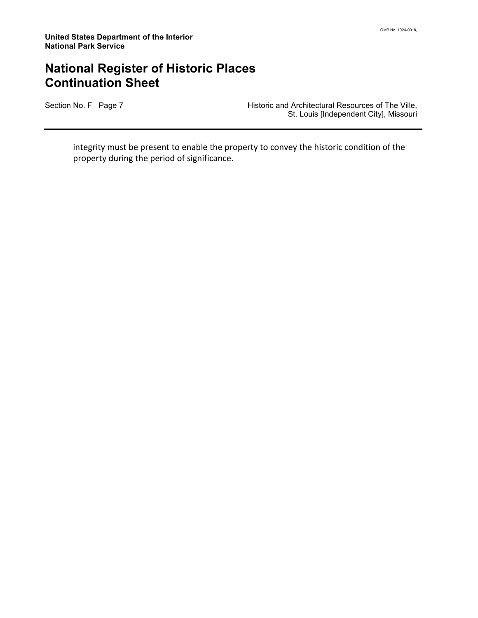Section No. F Page 7 **Historic and Architectural Resources of The Ville,** St. Louis [Independent City], Missouri

integrity must be present to enable the property to convey the historic condition of the property during the period of significance.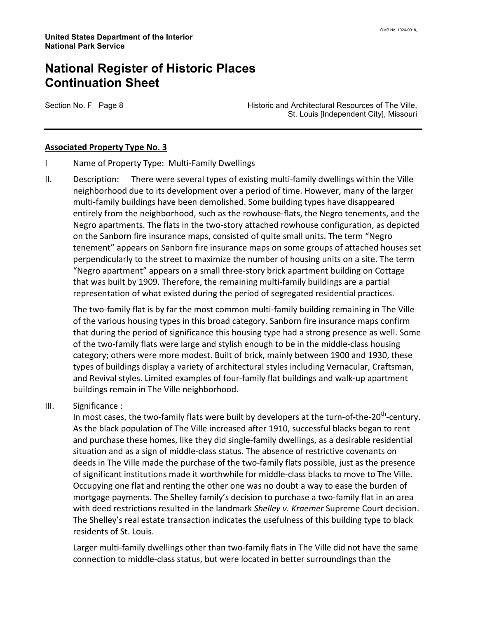Section No. F Page 8 **Historic and Architectural Resources of The Ville**, St. Louis [Independent City], Missouri

#### Associated Property Type No. 3

- I Name of Property Type: Multi-Family Dwellings
- II. Description: There were several types of existing multi-family dwellings within the Ville neighborhood due to its development over a period of time. However, many of the larger multi-family buildings have been demolished. Some building types have disappeared entirely from the neighborhood, such as the rowhouse-flats, the Negro tenements, and the Negro apartments. The flats in the two-story attached rowhouse configuration, as depicted on the Sanborn fire insurance maps, consisted of quite small units. The term "Negro tenement" appears on Sanborn fire insurance maps on some groups of attached houses set perpendicularly to the street to maximize the number of housing units on a site. The term "Negro apartment" appears on a small three-story brick apartment building on Cottage that was built by 1909. Therefore, the remaining multi-family buildings are a partial representation of what existed during the period of segregated residential practices.

The two-family flat is by far the most common multi-family building remaining in The Ville of the various housing types in this broad category. Sanborn fire insurance maps confirm that during the period of significance this housing type had a strong presence as well. Some of the two-family flats were large and stylish enough to be in the middle-class housing category; others were more modest. Built of brick, mainly between 1900 and 1930, these types of buildings display a variety of architectural styles including Vernacular, Craftsman, and Revival styles. Limited examples of four-family flat buildings and walk-up apartment buildings remain in The Ville neighborhood.

III. Significance :

In most cases, the two-family flats were built by developers at the turn-of-the-20<sup>th</sup>-century. As the black population of The Ville increased after 1910, successful blacks began to rent and purchase these homes, like they did single-family dwellings, as a desirable residential situation and as a sign of middle-class status. The absence of restrictive covenants on deeds in The Ville made the purchase of the two-family flats possible, just as the presence of significant institutions made it worthwhile for middle-class blacks to move to The Ville. Occupying one flat and renting the other one was no doubt a way to ease the burden of mortgage payments. The Shelley family's decision to purchase a two-family flat in an area with deed restrictions resulted in the landmark Shelley v. Kraemer Supreme Court decision. The Shelley's real estate transaction indicates the usefulness of this building type to black residents of St. Louis.

Larger multi-family dwellings other than two-family flats in The Ville did not have the same connection to middle-class status, but were located in better surroundings than the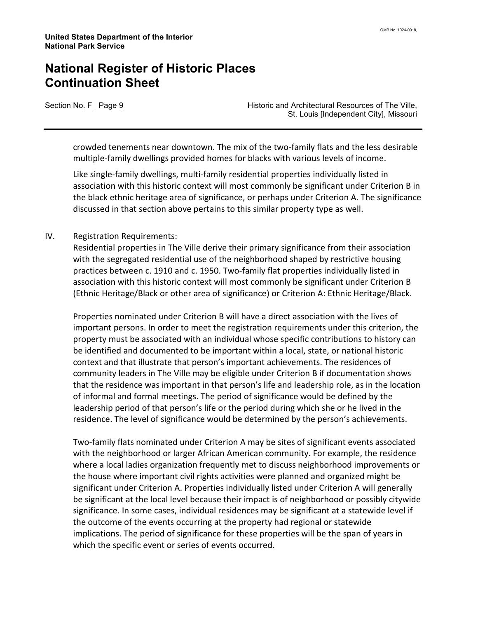Section No. F Page 9 **Historic and Architectural Resources of The Ville**, St. Louis [Independent City], Missouri

crowded tenements near downtown. The mix of the two-family flats and the less desirable multiple-family dwellings provided homes for blacks with various levels of income.

Like single-family dwellings, multi-family residential properties individually listed in association with this historic context will most commonly be significant under Criterion B in the black ethnic heritage area of significance, or perhaps under Criterion A. The significance discussed in that section above pertains to this similar property type as well.

#### IV. Registration Requirements:

Residential properties in The Ville derive their primary significance from their association with the segregated residential use of the neighborhood shaped by restrictive housing practices between c. 1910 and c. 1950. Two-family flat properties individually listed in association with this historic context will most commonly be significant under Criterion B (Ethnic Heritage/Black or other area of significance) or Criterion A: Ethnic Heritage/Black.

Properties nominated under Criterion B will have a direct association with the lives of important persons. In order to meet the registration requirements under this criterion, the property must be associated with an individual whose specific contributions to history can be identified and documented to be important within a local, state, or national historic context and that illustrate that person's important achievements. The residences of community leaders in The Ville may be eligible under Criterion B if documentation shows that the residence was important in that person's life and leadership role, as in the location of informal and formal meetings. The period of significance would be defined by the leadership period of that person's life or the period during which she or he lived in the residence. The level of significance would be determined by the person's achievements.

Two-family flats nominated under Criterion A may be sites of significant events associated with the neighborhood or larger African American community. For example, the residence where a local ladies organization frequently met to discuss neighborhood improvements or the house where important civil rights activities were planned and organized might be significant under Criterion A. Properties individually listed under Criterion A will generally be significant at the local level because their impact is of neighborhood or possibly citywide significance. In some cases, individual residences may be significant at a statewide level if the outcome of the events occurring at the property had regional or statewide implications. The period of significance for these properties will be the span of years in which the specific event or series of events occurred.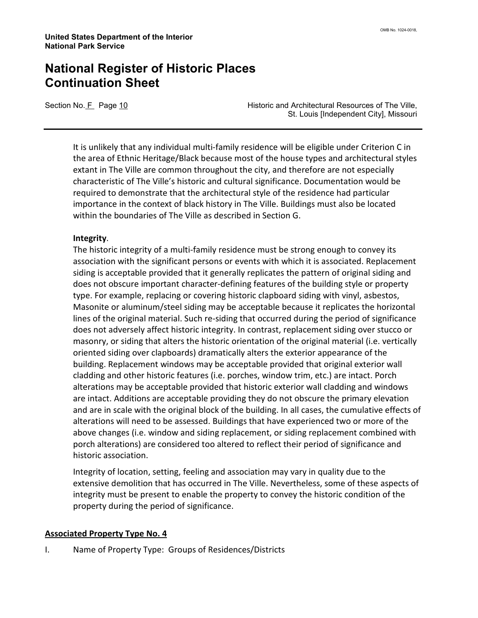Section No. F Page 10 **Historic and Architectural Resources of The Ville**, St. Louis [Independent City], Missouri

It is unlikely that any individual multi-family residence will be eligible under Criterion C in the area of Ethnic Heritage/Black because most of the house types and architectural styles extant in The Ville are common throughout the city, and therefore are not especially characteristic of The Ville's historic and cultural significance. Documentation would be required to demonstrate that the architectural style of the residence had particular importance in the context of black history in The Ville. Buildings must also be located within the boundaries of The Ville as described in Section G.

#### Integrity.

The historic integrity of a multi-family residence must be strong enough to convey its association with the significant persons or events with which it is associated. Replacement siding is acceptable provided that it generally replicates the pattern of original siding and does not obscure important character-defining features of the building style or property type. For example, replacing or covering historic clapboard siding with vinyl, asbestos, Masonite or aluminum/steel siding may be acceptable because it replicates the horizontal lines of the original material. Such re-siding that occurred during the period of significance does not adversely affect historic integrity. In contrast, replacement siding over stucco or masonry, or siding that alters the historic orientation of the original material (i.e. vertically oriented siding over clapboards) dramatically alters the exterior appearance of the building. Replacement windows may be acceptable provided that original exterior wall cladding and other historic features (i.e. porches, window trim, etc.) are intact. Porch alterations may be acceptable provided that historic exterior wall cladding and windows are intact. Additions are acceptable providing they do not obscure the primary elevation and are in scale with the original block of the building. In all cases, the cumulative effects of alterations will need to be assessed. Buildings that have experienced two or more of the above changes (i.e. window and siding replacement, or siding replacement combined with porch alterations) are considered too altered to reflect their period of significance and historic association.

Integrity of location, setting, feeling and association may vary in quality due to the extensive demolition that has occurred in The Ville. Nevertheless, some of these aspects of integrity must be present to enable the property to convey the historic condition of the property during the period of significance.

#### Associated Property Type No. 4

I. Name of Property Type: Groups of Residences/Districts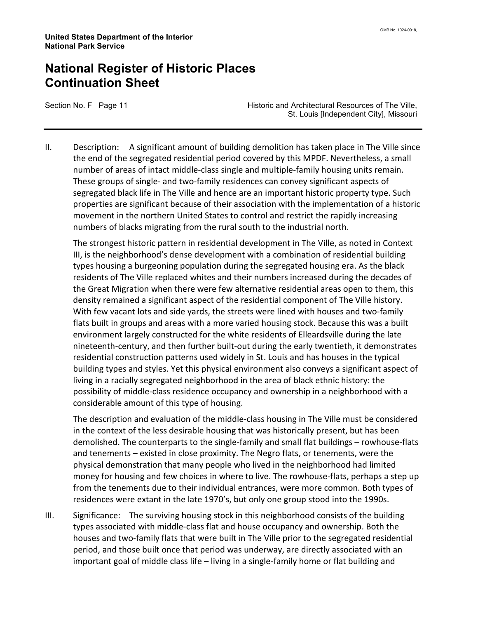Section No. F Page 11 **Historic and Architectural Resources of The Ville**, St. Louis [Independent City], Missouri

II. Description: A significant amount of building demolition has taken place in The Ville since the end of the segregated residential period covered by this MPDF. Nevertheless, a small number of areas of intact middle-class single and multiple-family housing units remain. These groups of single- and two-family residences can convey significant aspects of segregated black life in The Ville and hence are an important historic property type. Such properties are significant because of their association with the implementation of a historic movement in the northern United States to control and restrict the rapidly increasing numbers of blacks migrating from the rural south to the industrial north.

The strongest historic pattern in residential development in The Ville, as noted in Context III, is the neighborhood's dense development with a combination of residential building types housing a burgeoning population during the segregated housing era. As the black residents of The Ville replaced whites and their numbers increased during the decades of the Great Migration when there were few alternative residential areas open to them, this density remained a significant aspect of the residential component of The Ville history. With few vacant lots and side yards, the streets were lined with houses and two-family flats built in groups and areas with a more varied housing stock. Because this was a built environment largely constructed for the white residents of Elleardsville during the late nineteenth-century, and then further built-out during the early twentieth, it demonstrates residential construction patterns used widely in St. Louis and has houses in the typical building types and styles. Yet this physical environment also conveys a significant aspect of living in a racially segregated neighborhood in the area of black ethnic history: the possibility of middle-class residence occupancy and ownership in a neighborhood with a considerable amount of this type of housing.

The description and evaluation of the middle-class housing in The Ville must be considered in the context of the less desirable housing that was historically present, but has been demolished. The counterparts to the single-family and small flat buildings – rowhouse-flats and tenements – existed in close proximity. The Negro flats, or tenements, were the physical demonstration that many people who lived in the neighborhood had limited money for housing and few choices in where to live. The rowhouse-flats, perhaps a step up from the tenements due to their individual entrances, were more common. Both types of residences were extant in the late 1970's, but only one group stood into the 1990s.

III. Significance: The surviving housing stock in this neighborhood consists of the building types associated with middle-class flat and house occupancy and ownership. Both the houses and two-family flats that were built in The Ville prior to the segregated residential period, and those built once that period was underway, are directly associated with an important goal of middle class life – living in a single-family home or flat building and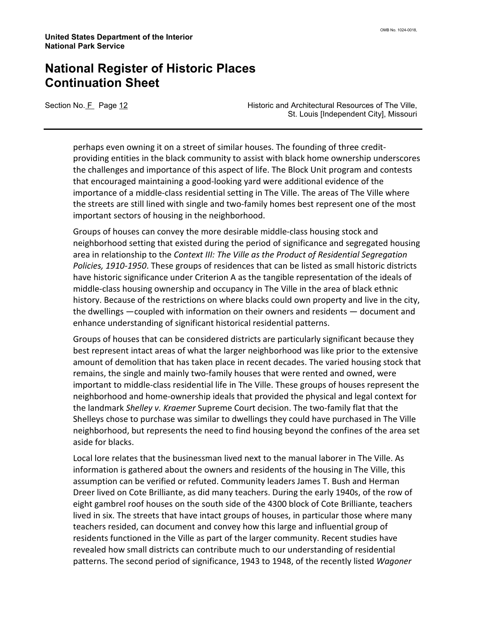Section No. F Page 12 **Historic and Architectural Resources of The Ville**, St. Louis [Independent City], Missouri

perhaps even owning it on a street of similar houses. The founding of three creditproviding entities in the black community to assist with black home ownership underscores the challenges and importance of this aspect of life. The Block Unit program and contests that encouraged maintaining a good-looking yard were additional evidence of the importance of a middle-class residential setting in The Ville. The areas of The Ville where the streets are still lined with single and two-family homes best represent one of the most important sectors of housing in the neighborhood.

Groups of houses can convey the more desirable middle-class housing stock and neighborhood setting that existed during the period of significance and segregated housing area in relationship to the Context III: The Ville as the Product of Residential Segregation Policies, 1910-1950. These groups of residences that can be listed as small historic districts have historic significance under Criterion A as the tangible representation of the ideals of middle-class housing ownership and occupancy in The Ville in the area of black ethnic history. Because of the restrictions on where blacks could own property and live in the city, the dwellings —coupled with information on their owners and residents — document and enhance understanding of significant historical residential patterns.

Groups of houses that can be considered districts are particularly significant because they best represent intact areas of what the larger neighborhood was like prior to the extensive amount of demolition that has taken place in recent decades. The varied housing stock that remains, the single and mainly two-family houses that were rented and owned, were important to middle-class residential life in The Ville. These groups of houses represent the neighborhood and home-ownership ideals that provided the physical and legal context for the landmark Shelley v. Kraemer Supreme Court decision. The two-family flat that the Shelleys chose to purchase was similar to dwellings they could have purchased in The Ville neighborhood, but represents the need to find housing beyond the confines of the area set aside for blacks.

Local lore relates that the businessman lived next to the manual laborer in The Ville. As information is gathered about the owners and residents of the housing in The Ville, this assumption can be verified or refuted. Community leaders James T. Bush and Herman Dreer lived on Cote Brilliante, as did many teachers. During the early 1940s, of the row of eight gambrel roof houses on the south side of the 4300 block of Cote Brilliante, teachers lived in six. The streets that have intact groups of houses, in particular those where many teachers resided, can document and convey how this large and influential group of residents functioned in the Ville as part of the larger community. Recent studies have revealed how small districts can contribute much to our understanding of residential patterns. The second period of significance, 1943 to 1948, of the recently listed Wagoner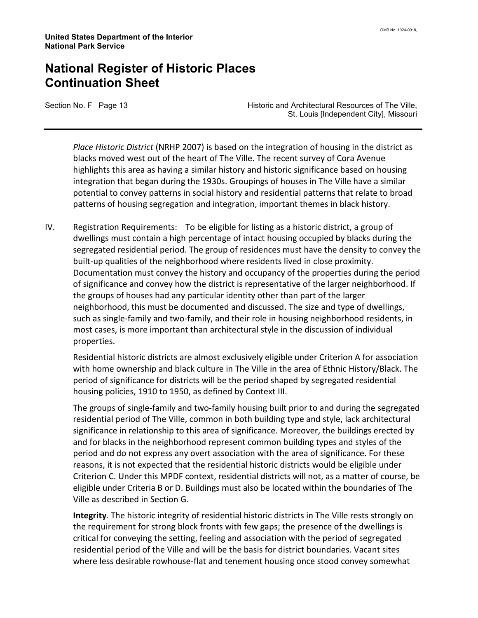Section No. F Page 13 **Historic and Architectural Resources of The Ville**, St. Louis [Independent City], Missouri

Place Historic District (NRHP 2007) is based on the integration of housing in the district as blacks moved west out of the heart of The Ville. The recent survey of Cora Avenue highlights this area as having a similar history and historic significance based on housing integration that began during the 1930s. Groupings of houses in The Ville have a similar potential to convey patterns in social history and residential patterns that relate to broad patterns of housing segregation and integration, important themes in black history.

IV. Registration Requirements: To be eligible for listing as a historic district, a group of dwellings must contain a high percentage of intact housing occupied by blacks during the segregated residential period. The group of residences must have the density to convey the built-up qualities of the neighborhood where residents lived in close proximity. Documentation must convey the history and occupancy of the properties during the period of significance and convey how the district is representative of the larger neighborhood. If the groups of houses had any particular identity other than part of the larger neighborhood, this must be documented and discussed. The size and type of dwellings, such as single-family and two-family, and their role in housing neighborhood residents, in most cases, is more important than architectural style in the discussion of individual properties.

Residential historic districts are almost exclusively eligible under Criterion A for association with home ownership and black culture in The Ville in the area of Ethnic History/Black. The period of significance for districts will be the period shaped by segregated residential housing policies, 1910 to 1950, as defined by Context III.

The groups of single-family and two-family housing built prior to and during the segregated residential period of The Ville, common in both building type and style, lack architectural significance in relationship to this area of significance. Moreover, the buildings erected by and for blacks in the neighborhood represent common building types and styles of the period and do not express any overt association with the area of significance. For these reasons, it is not expected that the residential historic districts would be eligible under Criterion C. Under this MPDF context, residential districts will not, as a matter of course, be eligible under Criteria B or D. Buildings must also be located within the boundaries of The Ville as described in Section G.

Integrity. The historic integrity of residential historic districts in The Ville rests strongly on the requirement for strong block fronts with few gaps; the presence of the dwellings is critical for conveying the setting, feeling and association with the period of segregated residential period of the Ville and will be the basis for district boundaries. Vacant sites where less desirable rowhouse-flat and tenement housing once stood convey somewhat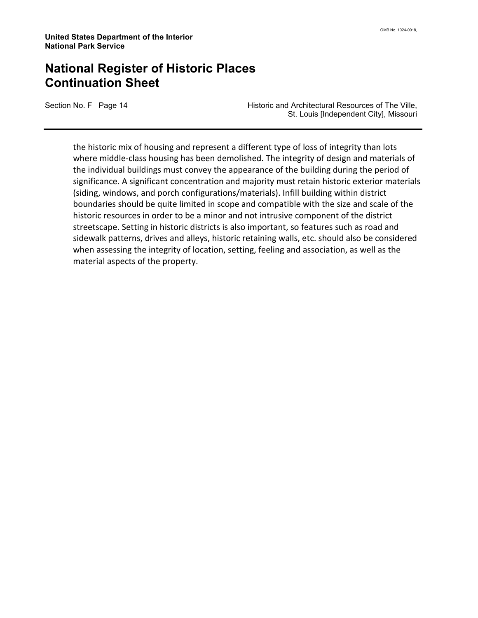Section No. F Page 14 **Historic and Architectural Resources of The Ville**, St. Louis [Independent City], Missouri

the historic mix of housing and represent a different type of loss of integrity than lots where middle-class housing has been demolished. The integrity of design and materials of the individual buildings must convey the appearance of the building during the period of significance. A significant concentration and majority must retain historic exterior materials (siding, windows, and porch configurations/materials). Infill building within district boundaries should be quite limited in scope and compatible with the size and scale of the historic resources in order to be a minor and not intrusive component of the district streetscape. Setting in historic districts is also important, so features such as road and sidewalk patterns, drives and alleys, historic retaining walls, etc. should also be considered when assessing the integrity of location, setting, feeling and association, as well as the material aspects of the property.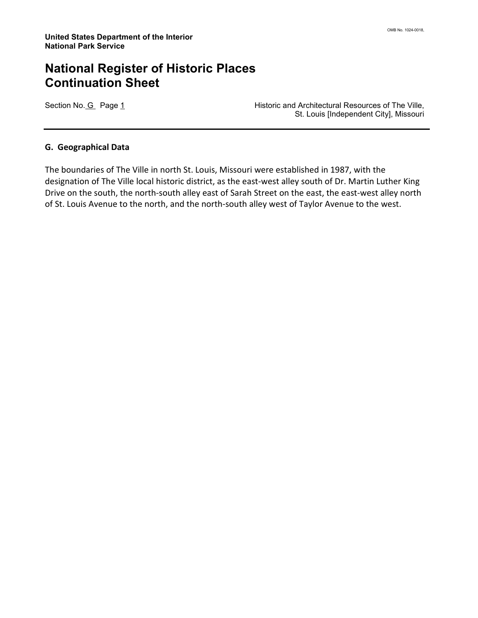Section No. G Page 1 **Historic and Architectural Resources of The Ville,** St. Louis [Independent City], Missouri

#### G. Geographical Data

The boundaries of The Ville in north St. Louis, Missouri were established in 1987, with the designation of The Ville local historic district, as the east-west alley south of Dr. Martin Luther King Drive on the south, the north-south alley east of Sarah Street on the east, the east-west alley north of St. Louis Avenue to the north, and the north-south alley west of Taylor Avenue to the west.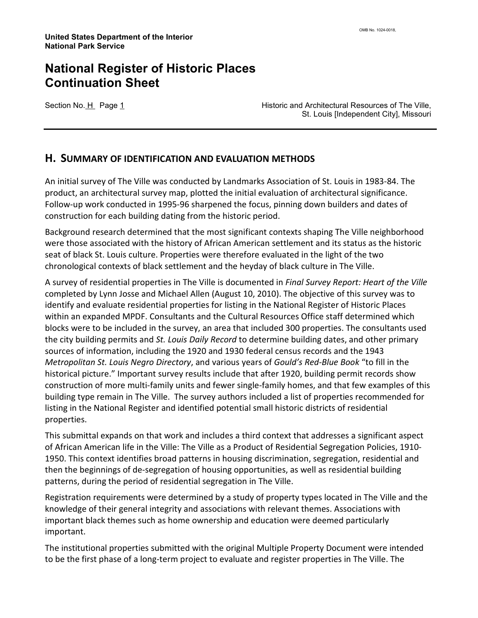Section No. H Page 1 **Historic and Architectural Resources of The Ville**, St. Louis [Independent City], Missouri

#### H. SUMMARY OF IDENTIFICATION AND EVALUATION METHODS

An initial survey of The Ville was conducted by Landmarks Association of St. Louis in 1983-84. The product, an architectural survey map, plotted the initial evaluation of architectural significance. Follow-up work conducted in 1995-96 sharpened the focus, pinning down builders and dates of construction for each building dating from the historic period.

Background research determined that the most significant contexts shaping The Ville neighborhood were those associated with the history of African American settlement and its status as the historic seat of black St. Louis culture. Properties were therefore evaluated in the light of the two chronological contexts of black settlement and the heyday of black culture in The Ville.

A survey of residential properties in The Ville is documented in Final Survey Report: Heart of the Ville completed by Lynn Josse and Michael Allen (August 10, 2010). The objective of this survey was to identify and evaluate residential properties for listing in the National Register of Historic Places within an expanded MPDF. Consultants and the Cultural Resources Office staff determined which blocks were to be included in the survey, an area that included 300 properties. The consultants used the city building permits and St. Louis Daily Record to determine building dates, and other primary sources of information, including the 1920 and 1930 federal census records and the 1943 Metropolitan St. Louis Negro Directory, and various years of Gould's Red-Blue Book "to fill in the historical picture." Important survey results include that after 1920, building permit records show construction of more multi-family units and fewer single-family homes, and that few examples of this building type remain in The Ville. The survey authors included a list of properties recommended for listing in the National Register and identified potential small historic districts of residential properties.

This submittal expands on that work and includes a third context that addresses a significant aspect of African American life in the Ville: The Ville as a Product of Residential Segregation Policies, 1910- 1950. This context identifies broad patterns in housing discrimination, segregation, residential and then the beginnings of de-segregation of housing opportunities, as well as residential building patterns, during the period of residential segregation in The Ville.

Registration requirements were determined by a study of property types located in The Ville and the knowledge of their general integrity and associations with relevant themes. Associations with important black themes such as home ownership and education were deemed particularly important.

The institutional properties submitted with the original Multiple Property Document were intended to be the first phase of a long-term project to evaluate and register properties in The Ville. The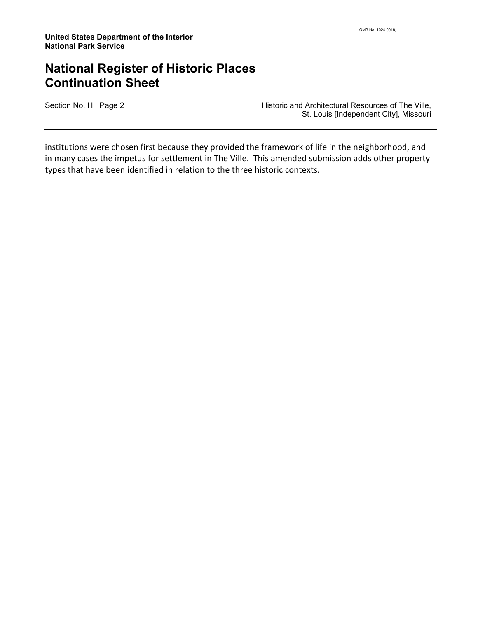Section No. H Page 2 **Historic and Architectural Resources of The Ville,** St. Louis [Independent City], Missouri

institutions were chosen first because they provided the framework of life in the neighborhood, and in many cases the impetus for settlement in The Ville. This amended submission adds other property types that have been identified in relation to the three historic contexts.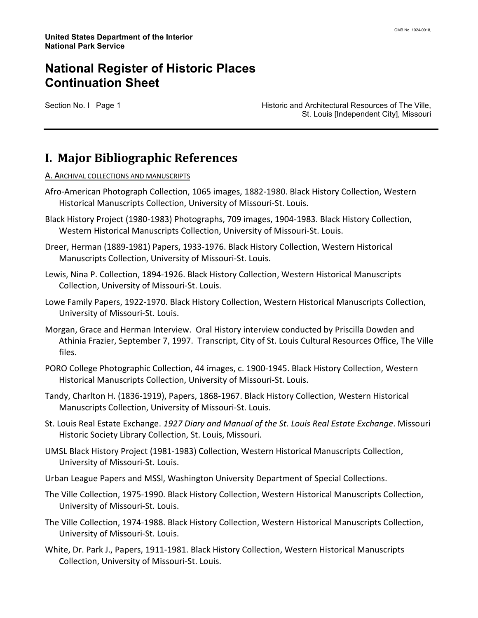Section No. I Page 1 **Historic and Architectural Resources of The Ville**, St. Louis [Independent City], Missouri

#### I. Major Bibliographic References

#### A. ARCHIVAL COLLECTIONS AND MANUSCRIPTS

- Afro-American Photograph Collection, 1065 images, 1882-1980. Black History Collection, Western Historical Manuscripts Collection, University of Missouri-St. Louis.
- Black History Project (1980-1983) Photographs, 709 images, 1904-1983. Black History Collection, Western Historical Manuscripts Collection, University of Missouri-St. Louis.
- Dreer, Herman (1889-1981) Papers, 1933-1976. Black History Collection, Western Historical Manuscripts Collection, University of Missouri-St. Louis.
- Lewis, Nina P. Collection, 1894-1926. Black History Collection, Western Historical Manuscripts Collection, University of Missouri-St. Louis.
- Lowe Family Papers, 1922-1970. Black History Collection, Western Historical Manuscripts Collection, University of Missouri-St. Louis.
- Morgan, Grace and Herman Interview. Oral History interview conducted by Priscilla Dowden and Athinia Frazier, September 7, 1997. Transcript, City of St. Louis Cultural Resources Office, The Ville files.
- PORO College Photographic Collection, 44 images, c. 1900-1945. Black History Collection, Western Historical Manuscripts Collection, University of Missouri-St. Louis.
- Tandy, Charlton H. (1836-1919), Papers, 1868-1967. Black History Collection, Western Historical Manuscripts Collection, University of Missouri-St. Louis.
- St. Louis Real Estate Exchange. 1927 Diary and Manual of the St. Louis Real Estate Exchange. Missouri Historic Society Library Collection, St. Louis, Missouri.
- UMSL Black History Project (1981-1983) Collection, Western Historical Manuscripts Collection, University of Missouri-St. Louis.
- Urban League Papers and MSSl, Washington University Department of Special Collections.
- The Ville Collection, 1975-1990. Black History Collection, Western Historical Manuscripts Collection, University of Missouri-St. Louis.
- The Ville Collection, 1974-1988. Black History Collection, Western Historical Manuscripts Collection, University of Missouri-St. Louis.
- White, Dr. Park J., Papers, 1911-1981. Black History Collection, Western Historical Manuscripts Collection, University of Missouri-St. Louis.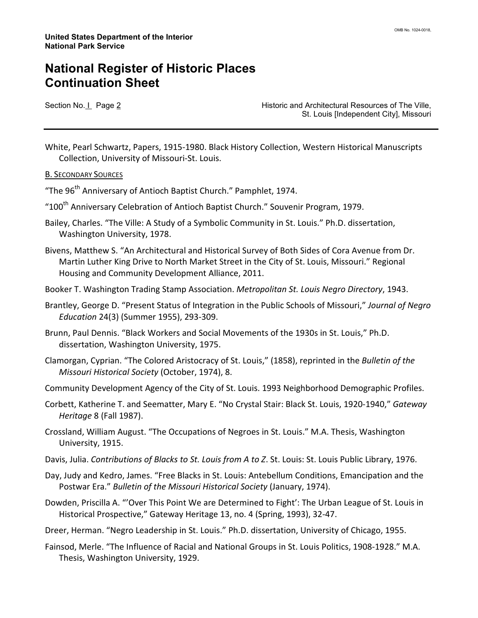Section No. I Page 2 **Historic and Architectural Resources of The Ville**, St. Louis [Independent City], Missouri

White, Pearl Schwartz, Papers, 1915-1980. Black History Collection, Western Historical Manuscripts Collection, University of Missouri-St. Louis.

#### B. SECONDARY SOURCES

"The 96<sup>th</sup> Anniversary of Antioch Baptist Church." Pamphlet, 1974.

- "100<sup>th</sup> Anniversarv Celebration of Antioch Baptist Church." Souvenir Program, 1979.
- Bailey, Charles. "The Ville: A Study of a Symbolic Community in St. Louis." Ph.D. dissertation, Washington University, 1978.
- Bivens, Matthew S. "An Architectural and Historical Survey of Both Sides of Cora Avenue from Dr. Martin Luther King Drive to North Market Street in the City of St. Louis, Missouri." Regional Housing and Community Development Alliance, 2011.
- Booker T. Washington Trading Stamp Association. Metropolitan St. Louis Negro Directory, 1943.
- Brantley, George D. "Present Status of Integration in the Public Schools of Missouri," Journal of Negro Education 24(3) (Summer 1955), 293-309.
- Brunn, Paul Dennis. "Black Workers and Social Movements of the 1930s in St. Louis," Ph.D. dissertation, Washington University, 1975.
- Clamorgan, Cyprian. "The Colored Aristocracy of St. Louis," (1858), reprinted in the Bulletin of the Missouri Historical Society (October, 1974), 8.
- Community Development Agency of the City of St. Louis. 1993 Neighborhood Demographic Profiles.
- Corbett, Katherine T. and Seematter, Mary E. "No Crystal Stair: Black St. Louis, 1920-1940," Gateway Heritage 8 (Fall 1987).
- Crossland, William August. "The Occupations of Negroes in St. Louis." M.A. Thesis, Washington University, 1915.
- Davis, Julia. Contributions of Blacks to St. Louis from A to Z. St. Louis: St. Louis Public Library, 1976.
- Day, Judy and Kedro, James. "Free Blacks in St. Louis: Antebellum Conditions, Emancipation and the Postwar Era." Bulletin of the Missouri Historical Society (January, 1974).
- Dowden, Priscilla A. "'Over This Point We are Determined to Fight': The Urban League of St. Louis in Historical Prospective," Gateway Heritage 13, no. 4 (Spring, 1993), 32-47.
- Dreer, Herman. "Negro Leadership in St. Louis." Ph.D. dissertation, University of Chicago, 1955.
- Fainsod, Merle. "The Influence of Racial and National Groups in St. Louis Politics, 1908-1928." M.A. Thesis, Washington University, 1929.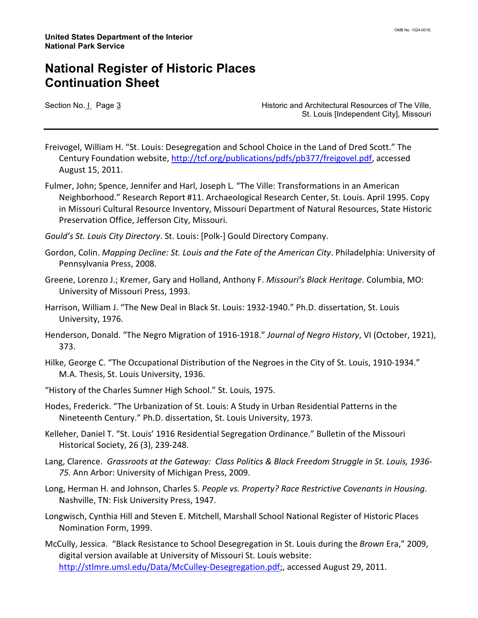Section No. I Page 3 **Historic and Architectural Resources of The Ville**, St. Louis [Independent City], Missouri

Freivogel, William H. "St. Louis: Desegregation and School Choice in the Land of Dred Scott." The Century Foundation website, http://tcf.org/publications/pdfs/pb377/freigovel.pdf, accessed August 15, 2011.

Fulmer, John; Spence, Jennifer and Harl, Joseph L. "The Ville: Transformations in an American Neighborhood." Research Report #11. Archaeological Research Center, St. Louis. April 1995. Copy in Missouri Cultural Resource Inventory, Missouri Department of Natural Resources, State Historic Preservation Office, Jefferson City, Missouri.

Gould's St. Louis City Directory. St. Louis: [Polk-] Gould Directory Company.

- Gordon, Colin. Mapping Decline: St. Louis and the Fate of the American City. Philadelphia: University of Pennsylvania Press, 2008.
- Greene, Lorenzo J.; Kremer, Gary and Holland, Anthony F. Missouri's Black Heritage. Columbia, MO: University of Missouri Press, 1993.
- Harrison, William J. "The New Deal in Black St. Louis: 1932-1940." Ph.D. dissertation, St. Louis University, 1976.
- Henderson, Donald. "The Negro Migration of 1916-1918." Journal of Negro History, VI (October, 1921), 373.
- Hilke, George C. "The Occupational Distribution of the Negroes in the City of St. Louis, 1910-1934." M.A. Thesis, St. Louis University, 1936.
- "History of the Charles Sumner High School." St. Louis, 1975.
- Hodes, Frederick. "The Urbanization of St. Louis: A Study in Urban Residential Patterns in the Nineteenth Century." Ph.D. dissertation, St. Louis University, 1973.
- Kelleher, Daniel T. "St. Louis' 1916 Residential Segregation Ordinance." Bulletin of the Missouri Historical Society, 26 (3), 239-248.
- Lang, Clarence. Grassroots at the Gateway: Class Politics & Black Freedom Struggle in St. Louis, 1936- 75. Ann Arbor: University of Michigan Press, 2009.
- Long, Herman H. and Johnson, Charles S. People vs. Property? Race Restrictive Covenants in Housing. Nashville, TN: Fisk University Press, 1947.
- Longwisch, Cynthia Hill and Steven E. Mitchell, Marshall School National Register of Historic Places Nomination Form, 1999.
- McCully, Jessica. "Black Resistance to School Desegregation in St. Louis during the Brown Era," 2009, digital version available at University of Missouri St. Louis website: http://stlmre.umsl.edu/Data/McCulley-Desegregation.pdf;, accessed August 29, 2011.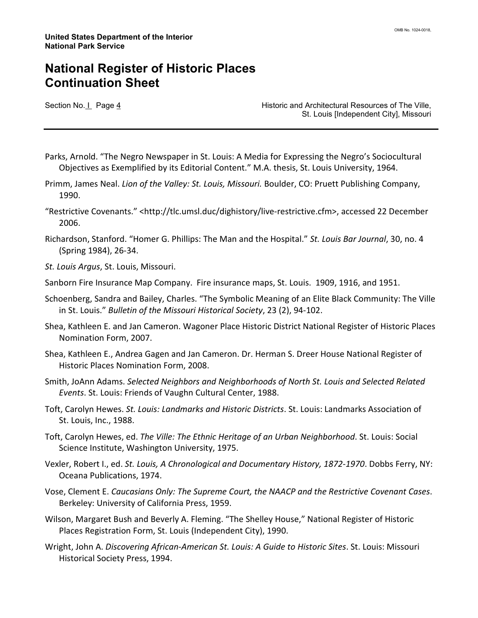Section No. I Page 4 **Historic and Architectural Resources of The Ville**, St. Louis [Independent City], Missouri

- Parks, Arnold. "The Negro Newspaper in St. Louis: A Media for Expressing the Negro's Sociocultural Objectives as Exemplified by its Editorial Content." M.A. thesis, St. Louis University, 1964.
- Primm, James Neal. Lion of the Valley: St. Louis, Missouri. Boulder, CO: Pruett Publishing Company, 1990.
- "Restrictive Covenants." <http://tlc.umsl.duc/dighistory/live-restrictive.cfm>, accessed 22 December 2006.
- Richardson, Stanford. "Homer G. Phillips: The Man and the Hospital." St. Louis Bar Journal, 30, no. 4 (Spring 1984), 26-34.
- St. Louis Argus, St. Louis, Missouri.
- Sanborn Fire Insurance Map Company. Fire insurance maps, St. Louis. 1909, 1916, and 1951.
- Schoenberg, Sandra and Bailey, Charles. "The Symbolic Meaning of an Elite Black Community: The Ville in St. Louis." Bulletin of the Missouri Historical Society, 23 (2), 94-102.
- Shea, Kathleen E. and Jan Cameron. Wagoner Place Historic District National Register of Historic Places Nomination Form, 2007.
- Shea, Kathleen E., Andrea Gagen and Jan Cameron. Dr. Herman S. Dreer House National Register of Historic Places Nomination Form, 2008.
- Smith, JoAnn Adams. Selected Neighbors and Neighborhoods of North St. Louis and Selected Related Events. St. Louis: Friends of Vaughn Cultural Center, 1988.
- Toft, Carolyn Hewes. St. Louis: Landmarks and Historic Districts. St. Louis: Landmarks Association of St. Louis, Inc., 1988.
- Toft, Carolyn Hewes, ed. The Ville: The Ethnic Heritage of an Urban Neighborhood. St. Louis: Social Science Institute, Washington University, 1975.
- Vexler, Robert I., ed. St. Louis, A Chronological and Documentary History, 1872-1970. Dobbs Ferry, NY: Oceana Publications, 1974.
- Vose, Clement E. Caucasians Only: The Supreme Court, the NAACP and the Restrictive Covenant Cases. Berkeley: University of California Press, 1959.
- Wilson, Margaret Bush and Beverly A. Fleming. "The Shelley House," National Register of Historic Places Registration Form, St. Louis (Independent City), 1990.
- Wright, John A. Discovering African-American St. Louis: A Guide to Historic Sites. St. Louis: Missouri Historical Society Press, 1994.